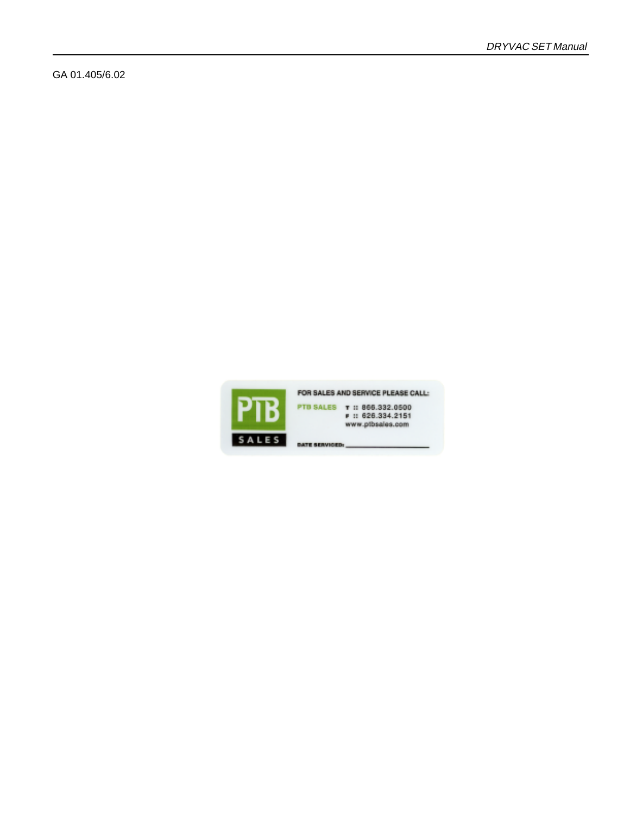GA 01.405/6.02



FOR SALES AND SERVICE PLEASE CALL: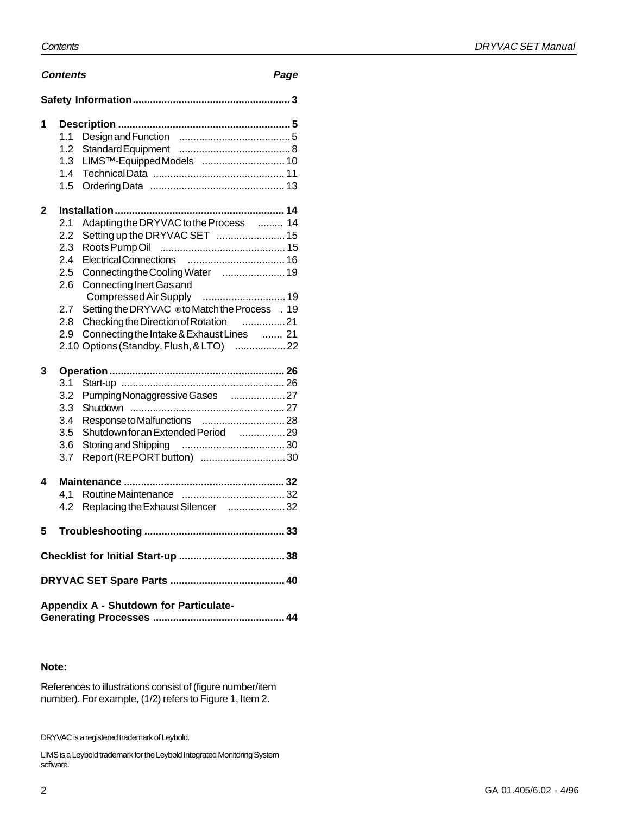#### DRYVAC SET Manual

#### **Contents Page**

| .,<br>۰.<br>٦<br>$-$<br>$\sim$<br>۰. |
|--------------------------------------|
|--------------------------------------|

| 1 | 1.1<br>1.2<br>1.3<br>1.4<br>1.5 | LIMS™-Equipped Models  10                      |  |  |  |
|---|---------------------------------|------------------------------------------------|--|--|--|
| 2 |                                 |                                                |  |  |  |
|   | 2.1                             | Adapting the DRYVAC to the Process  14         |  |  |  |
|   | 2.2                             | Setting up the DRYVAC SET  15                  |  |  |  |
|   | 2.3                             |                                                |  |  |  |
|   | 2.4                             |                                                |  |  |  |
|   | 2.5                             | Connecting the Cooling Water  19               |  |  |  |
|   | 2.6                             | Connecting Inert Gas and                       |  |  |  |
|   |                                 |                                                |  |  |  |
|   | 2.7                             | Setting the DRYVAC ® to Match the Process . 19 |  |  |  |
|   | 2.8                             | Checking the Direction of Rotation 21          |  |  |  |
|   | 2.9                             | Connecting the Intake & Exhaust Lines  21      |  |  |  |
|   |                                 | 2.10 Options (Standby, Flush, & LTO)  22       |  |  |  |
| 3 |                                 |                                                |  |  |  |
|   | 3.1                             |                                                |  |  |  |
|   | 3.2                             | Pumping Nonaggressive Gases  27                |  |  |  |
|   | 3.3                             |                                                |  |  |  |
|   | 3.4                             |                                                |  |  |  |
|   | 3.5                             | Shutdown for an Extended Period [1,  29]       |  |  |  |
|   | 3.6                             |                                                |  |  |  |
|   | 3.7                             | Report (REPORT button)  30                     |  |  |  |
| 4 |                                 |                                                |  |  |  |
|   | 4,1                             |                                                |  |  |  |
|   | 4.2                             | Replacing the Exhaust Silencer  32             |  |  |  |
|   |                                 |                                                |  |  |  |
| 5 |                                 |                                                |  |  |  |
|   |                                 |                                                |  |  |  |
|   |                                 |                                                |  |  |  |
|   |                                 | Appendix A - Shutdown for Particulate-         |  |  |  |
|   |                                 |                                                |  |  |  |

#### **Note:**

References to illustrations consist of (figure number/item number). For example, (1/2) refers to Figure 1, Item 2.

DRYVAC is a registered trademark of Leybold.

LIMS is a Leybold trademark for the Leybold Integrated Monitoring System software.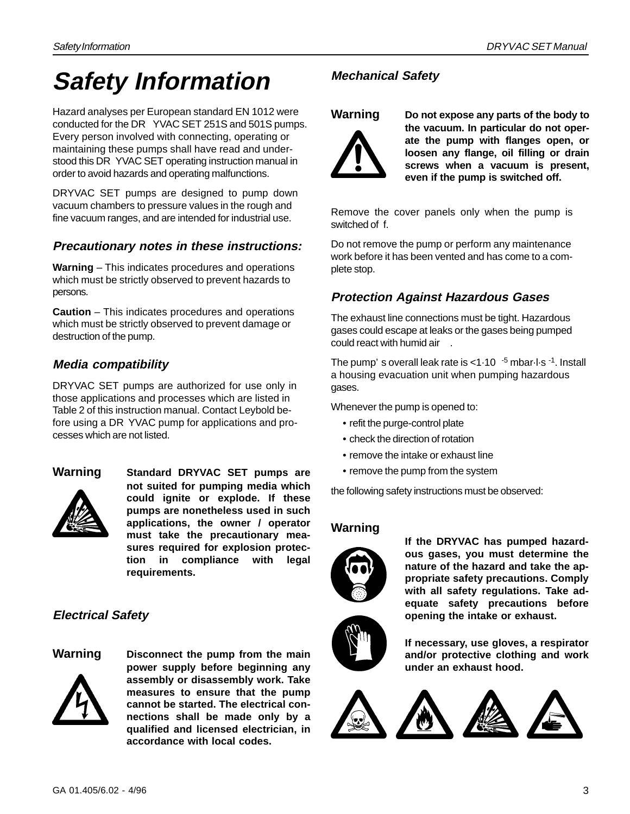# **Safety Information**

Hazard analyses per European standard EN 1012 were conducted for the DR YVAC SET 251S and 501S pumps. Every person involved with connecting, operating or maintaining these pumps shall have read and understood this DR YVAC SET operating instruction manual in order to avoid hazards and operating malfunctions.

DRYVAC SET pumps are designed to pump down vacuum chambers to pressure values in the rough and fine vacuum ranges, and are intended for industrial use.

#### **Precautionary notes in these instructions:**

**Warning** – This indicates procedures and operations which must be strictly observed to prevent hazards to persons.

**Caution** – This indicates procedures and operations which must be strictly observed to prevent damage or destruction of the pump.

#### **Media compatibility**

DRYVAC SET pumps are authorized for use only in those applications and processes which are listed in Table 2 of this instruction manual. Contact Leybold before using a DR YVAC pump for applications and processes which are not listed.



**Warning Standard DRYVAC SET pumps are not suited for pumping media which could ignite or explode. If these pumps are nonetheless used in such applications, the owner / operator must take the precautionary measures required for explosion protection in compliance with legal requirements.**

#### **Electrical Safety**



**Warning Disconnect the pump from the main power supply before beginning any assembly or disassembly work. Take measures to ensure that the pump cannot be started. The electrical connections shall be made only by a qualified and licensed electrician, in accordance with local codes.**

#### **Mechanical Safety**



**Warning Do not expose any parts of the body to the vacuum. In particular do not operate the pump with flanges open, or loosen any flange, oil filling or drain screws when a vacuum is present, even if the pump is switched off.**

Remove the cover panels only when the pump is switched of f.

Do not remove the pump or perform any maintenance work before it has been vented and has come to a complete stop.

#### **Protection Against Hazardous Gases**

The exhaust line connections must be tight. Hazardous gases could escape at leaks or the gases being pumped could react with humid air .

The pump's overall leak rate is  $< 1.10^{-5}$  mbar $\cdot$ l $\cdot$ s  $^{-1}$ . Install a housing evacuation unit when pumping hazardous gases.

Whenever the pump is opened to:

- refit the purge-control plate
- check the direction of rotation
- remove the intake or exhaust line
- remove the pump from the system

the following safety instructions must be observed:

#### **Warning**



**If the DRYVAC has pumped hazardous gases, you must determine the nature of the hazard and take the appropriate safety precautions. Comply with all safety regulations. Take adequate safety precautions before opening the intake or exhaust.**



**If necessary, use gloves, a respirator and/or protective clothing and work under an exhaust hood.**

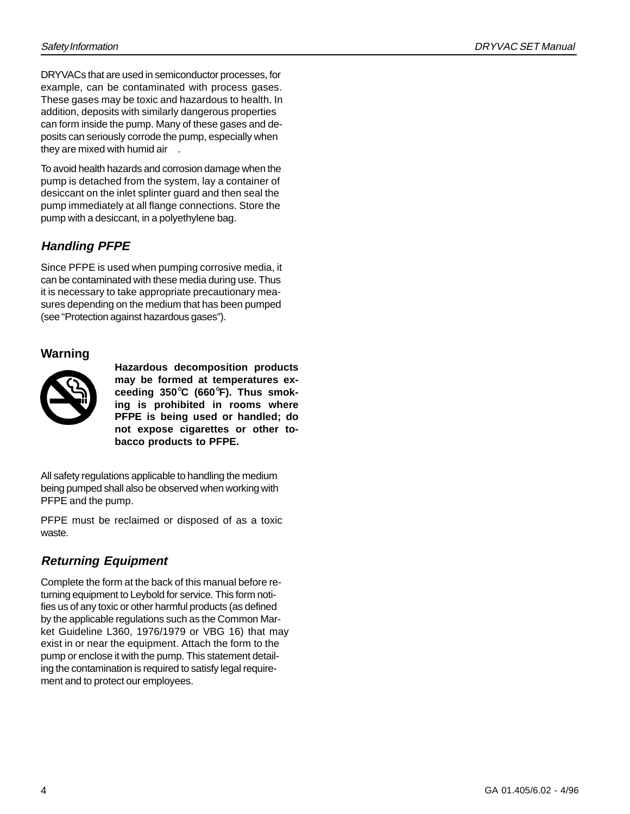DRYVACs that are used in semiconductor processes, for example, can be contaminated with process gases. These gases may be toxic and hazardous to health. In addition, deposits with similarly dangerous properties can form inside the pump. Many of these gases and deposits can seriously corrode the pump, especially when they are mixed with humid air .

To avoid health hazards and corrosion damage when the pump is detached from the system, lay a container of desiccant on the inlet splinter guard and then seal the pump immediately at all flange connections. Store the pump with a desiccant, in a polyethylene bag.

#### **Handling PFPE**

Since PFPE is used when pumping corrosive media, it can be contaminated with these media during use. Thus it is necessary to take appropriate precautionary measures depending on the medium that has been pumped (see "Protection against hazardous gases").

#### **Warning**



**Hazardous decomposition products may be formed at temperatures exceeding 350**°**C (660**°**F). Thus smoking is prohibited in rooms where PFPE is being used or handled; do not expose cigarettes or other tobacco products to PFPE.**

All safety regulations applicable to handling the medium being pumped shall also be observed when working with PFPE and the pump.

PFPE must be reclaimed or disposed of as a toxic waste.

#### **Returning Equipment**

Complete the form at the back of this manual before returning equipment to Leybold for service. This form notifies us of any toxic or other harmful products (as defined by the applicable regulations such as the Common Market Guideline L360, 1976/1979 or VBG 16) that may exist in or near the equipment. Attach the form to the pump or enclose it with the pump. This statement detailing the contamination is required to satisfy legal requirement and to protect our employees.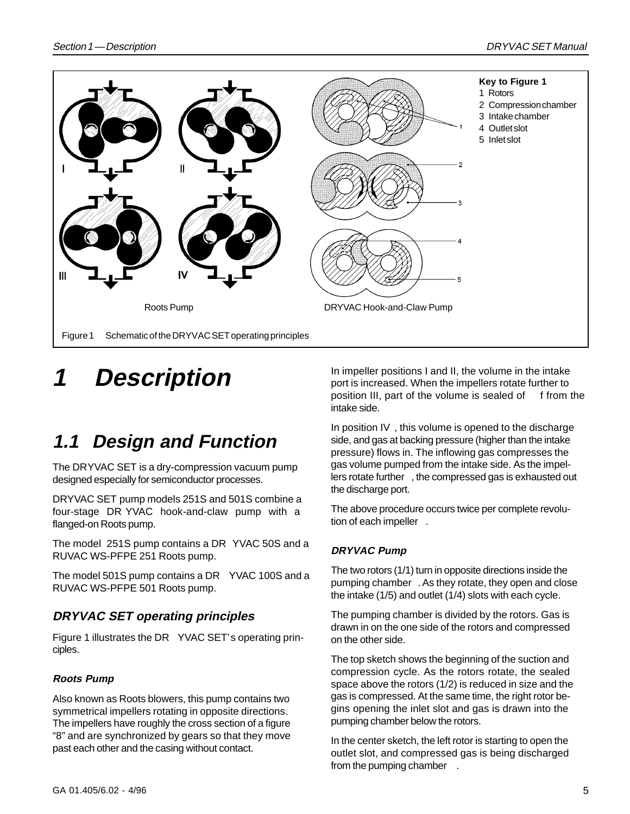

# **1 Description**

## **1.1 Design and Function**

The DRYVAC SET is a dry-compression vacuum pump designed especially for semiconductor processes.

DRYVAC SET pump models 251S and 501S combine a four-stage DR YVAC hook-and-claw pump with a flanged-on Roots pump.

The model 251S pump contains a DR YVAC 50S and a RUVAC WS-PFPE 251 Roots pump.

The model 501S pump contains a DR YVAC 100S and a RUVAC WS-PFPE 501 Roots pump.

#### **DRYVAC SET operating principles**

Figure 1 illustrates the DR YVAC SET's operating principles.

#### **Roots Pump**

Also known as Roots blowers, this pump contains two symmetrical impellers rotating in opposite directions. The impellers have roughly the cross section of a figure "8" and are synchronized by gears so that they move past each other and the casing without contact.

In impeller positions I and II, the volume in the intake port is increased. When the impellers rotate further to position III, part of the volume is sealed of from the intake side.

In position IV , this volume is opened to the discharge side, and gas at backing pressure (higher than the intake pressure) flows in. The inflowing gas compresses the gas volume pumped from the intake side. As the impellers rotate further , the compressed gas is exhausted out the discharge port.

The above procedure occurs twice per complete revolution of each impeller .

#### **DRYVAC Pump**

The two rotors (1/1) turn in opposite directions inside the pumping chamber . As they rotate, they open and close the intake (1/5) and outlet (1/4) slots with each cycle.

The pumping chamber is divided by the rotors. Gas is drawn in on the one side of the rotors and compressed on the other side.

The top sketch shows the beginning of the suction and compression cycle. As the rotors rotate, the sealed space above the rotors (1/2) is reduced in size and the gas is compressed. At the same time, the right rotor begins opening the inlet slot and gas is drawn into the pumping chamber below the rotors.

In the center sketch, the left rotor is starting to open the outlet slot, and compressed gas is being discharged from the pumping chamber .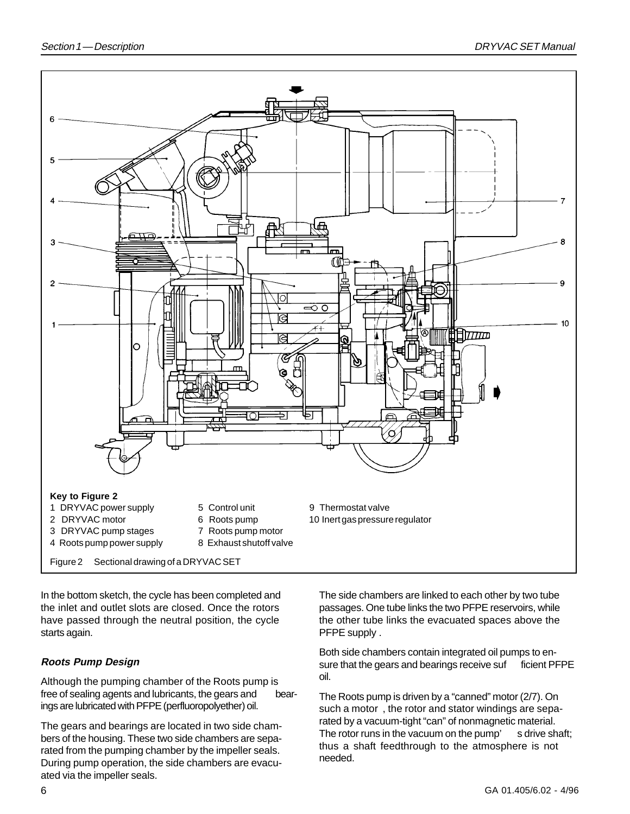![](_page_5_Figure_2.jpeg)

In the bottom sketch, the cycle has been completed and the inlet and outlet slots are closed. Once the rotors have passed through the neutral position, the cycle starts again.

#### **Roots Pump Design**

Although the pumping chamber of the Roots pump is free of sealing agents and lubricants, the gears and bearings are lubricated with PFPE (perfluoropolyether) oil.

The gears and bearings are located in two side chambers of the housing. These two side chambers are separated from the pumping chamber by the impeller seals. During pump operation, the side chambers are evacuated via the impeller seals.

The side chambers are linked to each other by two tube passages. One tube links the two PFPE reservoirs, while the other tube links the evacuated spaces above the PFPE supply .

Both side chambers contain integrated oil pumps to ensure that the gears and bearings receive suf ficient PFPE oil.

The Roots pump is driven by a "canned" motor (2/7). On such a motor , the rotor and stator windings are separated by a vacuum-tight "can" of nonmagnetic material. The rotor runs in the vacuum on the pump' s drive shaft; thus a shaft feedthrough to the atmosphere is not needed.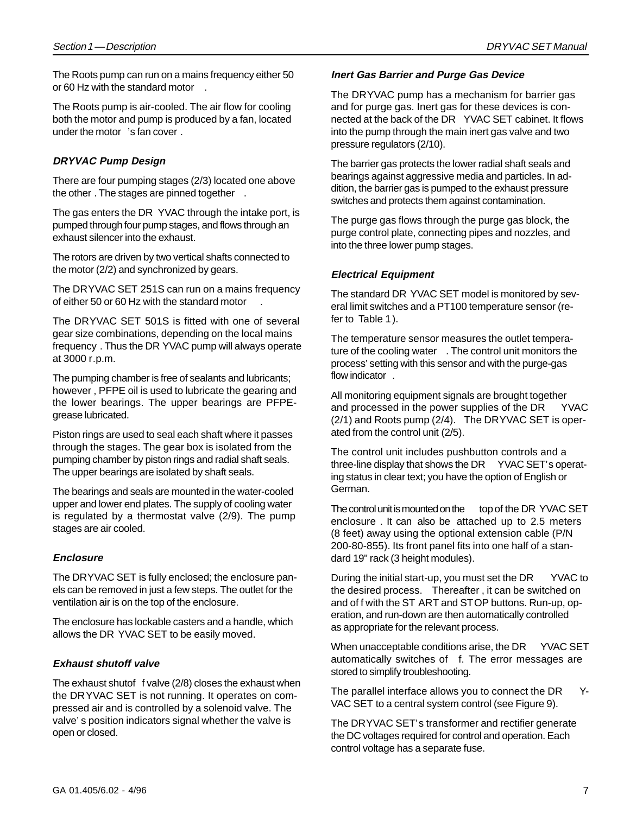The Roots pump can run on a mains frequency either 50 or 60 Hz with the standard motor .

The Roots pump is air-cooled. The air flow for cooling both the motor and pump is produced by a fan, located under the motor 's fan cover .

#### **DRYVAC Pump Design**

There are four pumping stages (2/3) located one above the other . The stages are pinned together .

The gas enters the DR YVAC through the intake port, is pumped through four pump stages, and flows through an exhaust silencer into the exhaust.

The rotors are driven by two vertical shafts connected to the motor (2/2) and synchronized by gears.

The DRYVAC SET 251S can run on a mains frequency of either 50 or 60 Hz with the standard motor .

The DRYVAC SET 501S is fitted with one of several gear size combinations, depending on the local mains frequency . Thus the DR YVAC pump will always operate at 3000 r.p.m.

The pumping chamber is free of sealants and lubricants; however , PFPE oil is used to lubricate the gearing and the lower bearings. The upper bearings are PFPEgrease lubricated.

Piston rings are used to seal each shaft where it passes through the stages. The gear box is isolated from the pumping chamber by piston rings and radial shaft seals. The upper bearings are isolated by shaft seals.

The bearings and seals are mounted in the water-cooled upper and lower end plates. The supply of cooling water is regulated by a thermostat valve (2/9). The pump stages are air cooled.

#### **Enclosure**

The DRYVAC SET is fully enclosed; the enclosure panels can be removed in just a few steps. The outlet for the ventilation air is on the top of the enclosure.

The enclosure has lockable casters and a handle, which allows the DR YVAC SET to be easily moved.

#### **Exhaust shutoff valve**

The exhaust shutof f valve (2/8) closes the exhaust when the DRYVAC SET is not running. It operates on compressed air and is controlled by a solenoid valve. The valve' s position indicators signal whether the valve is open or closed.

#### **Inert Gas Barrier and Purge Gas Device**

The DRYVAC pump has a mechanism for barrier gas and for purge gas. Inert gas for these devices is connected at the back of the DR YVAC SET cabinet. It flows into the pump through the main inert gas valve and two pressure regulators (2/10).

The barrier gas protects the lower radial shaft seals and bearings against aggressive media and particles. In addition, the barrier gas is pumped to the exhaust pressure switches and protects them against contamination.

The purge gas flows through the purge gas block, the purge control plate, connecting pipes and nozzles, and into the three lower pump stages.

#### **Electrical Equipment**

The standard DR YVAC SET model is monitored by several limit switches and a PT100 temperature sensor (refer to Table 1).

The temperature sensor measures the outlet temperature of the cooling water . The control unit monitors the process' setting with this sensor and with the purge-gas flow indicator .

All monitoring equipment signals are brought together and processed in the power supplies of the DR YVAC (2/1) and Roots pump (2/4). The DRYVAC SET is operated from the control unit (2/5).

The control unit includes pushbutton controls and a three-line display that shows the DR YVAC SET's operating status in clear text; you have the option of English or German.

The control unit is mounted on the top of the DR YVAC SET enclosure . It can also be attached up to 2.5 meters (8 feet) away using the optional extension cable (P/N 200-80-855). Its front panel fits into one half of a standard 19" rack (3 height modules).

During the initial start-up, you must set the DR YVAC to the desired process. Thereafter , it can be switched on and of f with the ST ART and STOP buttons. Run-up, operation, and run-down are then automatically controlled as appropriate for the relevant process.

When unacceptable conditions arise, the DR YVAC SET automatically switches of f. The error messages are stored to simplify troubleshooting.

The parallel interface allows you to connect the DR Y-VAC SET to a central system control (see Figure 9).

The DRYVAC SET's transformer and rectifier generate the DC voltages required for control and operation. Each control voltage has a separate fuse.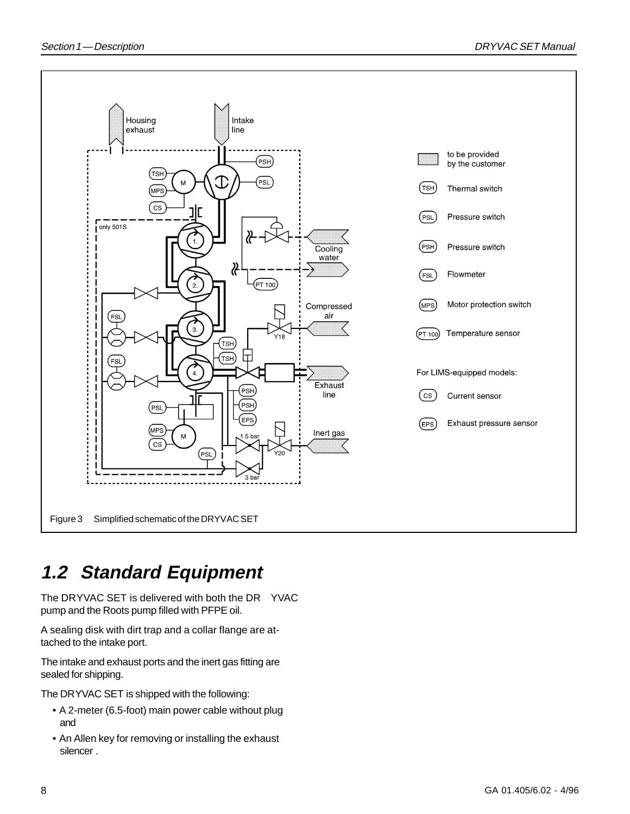![](_page_7_Figure_2.jpeg)

### **1.2 Standard Equipment**

The DRYVAC SET is delivered with both the DR YVAC pump and the Roots pump filled with PFPE oil.

A sealing disk with dirt trap and a collar flange are attached to the intake port.

The intake and exhaust ports and the inert gas fitting are sealed for shipping.

The DRYVAC SET is shipped with the following:

- A 2-meter (6.5-foot) main power cable without plug and
- An Allen key for removing or installing the exhaust silencer .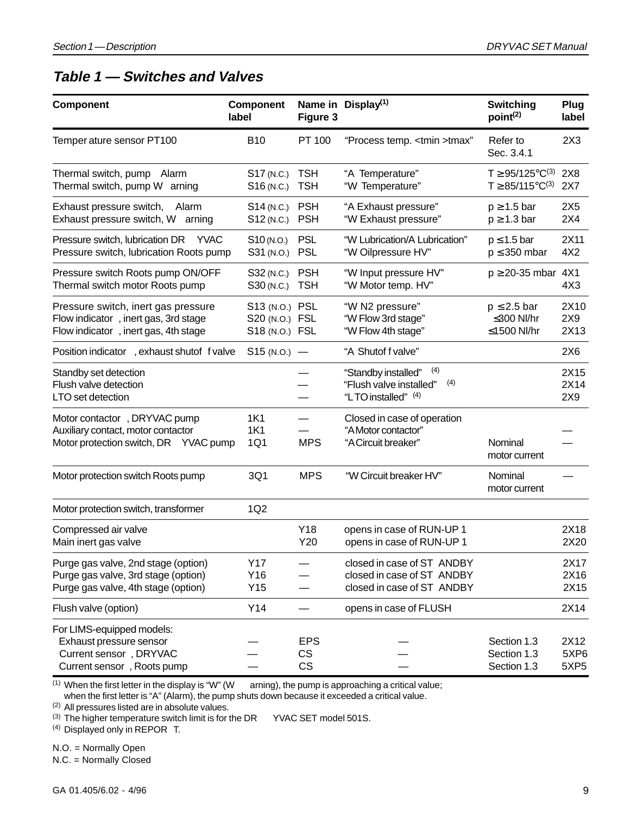### **Table 1 — Switches and Valves**

| Component                                                                                                           | <b>Component</b><br>label                          | Figure 3                 | Name in Display <sup>(1)</sup>                                                         | <b>Switching</b><br>point <sup>(2)</sup>                        | Plug<br>label                    |
|---------------------------------------------------------------------------------------------------------------------|----------------------------------------------------|--------------------------|----------------------------------------------------------------------------------------|-----------------------------------------------------------------|----------------------------------|
| Temper ature sensor PT100                                                                                           | <b>B10</b>                                         | PT 100                   | "Process temp. <tmin>tmax"</tmin>                                                      | Refer to<br>Sec. 3.4.1                                          | 2X3                              |
| Thermal switch, pump<br>Alarm<br>Thermal switch, pump W arning                                                      | S17 (N.C.)<br>S <sub>16</sub> (N.C.)               | <b>TSH</b><br><b>TSH</b> | "A Temperature"<br>"W Temperature"                                                     | $T \ge 95/125^{\circ}C^{(3)}$<br>$T \geq 85/115^{\circ}C^{(3)}$ | 2X8<br>2X7                       |
| Exhaust pressure switch,<br>Alarm<br>Exhaust pressure switch, W<br>arning                                           | S14 (N.C.)<br>$S12$ (N.C.)                         | <b>PSH</b><br><b>PSH</b> | "A Exhaust pressure"<br>"W Exhaust pressure"                                           | $p \geq 1.5$ bar<br>$p \ge 1.3$ bar                             | 2X <sub>5</sub><br>2X4           |
| Pressure switch, lubrication DR<br><b>YVAC</b><br>Pressure switch, lubrication Roots pump                           | S <sub>10</sub> (N.O.)<br>S31 (N.O.) PSL           | <b>PSL</b>               | "W Lubrication/A Lubrication"<br>"W Oilpressure HV"                                    | $p \leq 1.5$ bar<br>$p \leq 350$ mbar                           | 2X11<br>4X2                      |
| Pressure switch Roots pump ON/OFF<br>Thermal switch motor Roots pump                                                | S32 (N.C.) PSH<br>S30 (N.C.)                       | <b>TSH</b>               | "W Input pressure HV"<br>"W Motor temp. HV"                                            | $p \ge 20-35$ mbar 4X1                                          | 4X3                              |
| Pressure switch, inert gas pressure<br>Flow indicator, inert gas, 3rd stage<br>Flow indicator, inert gas, 4th stage | S13 (N.O.) PSL<br>S20 (N.O.) FSL<br>S18 (N.O.) FSL |                          | "W N2 pressure"<br>"W Flow 3rd stage"<br>"W Flow 4th stage"                            | $p \leq 2.5$ bar<br>≤300 NI/hr<br>≤1500 Nl/hr                   | 2X10<br>2X9<br>2X13              |
| Position indicator , exhaust shutof f valve                                                                         | $S15(N.0.) -$                                      |                          | "A Shutof f valve"                                                                     |                                                                 | 2X6                              |
| Standby set detection<br>Flush valve detection<br>LTO set detection                                                 |                                                    |                          | (4)<br>"Standby installed"<br>(4)<br>"Flush valve installed"<br>"LTO installed" (4)    |                                                                 | 2X15<br>2X14<br>2X9              |
| Motor contactor, DRYVAC pump<br>Auxiliary contact, motor contactor<br>Motor protection switch, DR YVAC pump         | 1K1<br><b>1K1</b><br>1Q1                           | <b>MPS</b>               | Closed in case of operation<br>"A Motor contactor"<br>"A Circuit breaker"              | Nominal<br>motor current                                        |                                  |
| Motor protection switch Roots pump                                                                                  | 3Q1                                                | <b>MPS</b>               | "W Circuit breaker HV"                                                                 | Nominal<br>motor current                                        |                                  |
| Motor protection switch, transformer                                                                                | 1Q2                                                |                          |                                                                                        |                                                                 |                                  |
| Compressed air valve<br>Main inert gas valve                                                                        |                                                    | Y18<br>Y20               | opens in case of RUN-UP 1<br>opens in case of RUN-UP 1                                 |                                                                 | 2X18<br>2X20                     |
| Purge gas valve, 2nd stage (option)<br>Purge gas valve, 3rd stage (option)<br>Purge gas valve, 4th stage (option)   | Y17<br>Y16<br>Y15                                  |                          | closed in case of ST ANDBY<br>closed in case of ST ANDBY<br>closed in case of ST ANDBY |                                                                 | 2X17<br>2X16<br>2X15             |
| Flush valve (option)                                                                                                | Y14                                                |                          | opens in case of FLUSH                                                                 |                                                                 | 2X14                             |
| For LIMS-equipped models:<br>Exhaust pressure sensor<br>Current sensor, DRYVAC<br>Current sensor, Roots pump        |                                                    | <b>EPS</b><br>CS<br>CS   |                                                                                        | Section 1.3<br>Section 1.3<br>Section 1.3                       | 2X12<br>5XP6<br>5XP <sub>5</sub> |

 $(1)$  When the first letter in the display is "W" (W arning), the pump is approaching a critical value;

when the first letter is "A" (Alarm), the pump shuts down because it exceeded a critical value.

(2) All pressures listed are in absolute values.

(3) The higher temperature switch limit is for the DR YVAC SET model 501S.

(4) Displayed only in REPOR T.

N.O. = Normally Open

N.C. = Normally Closed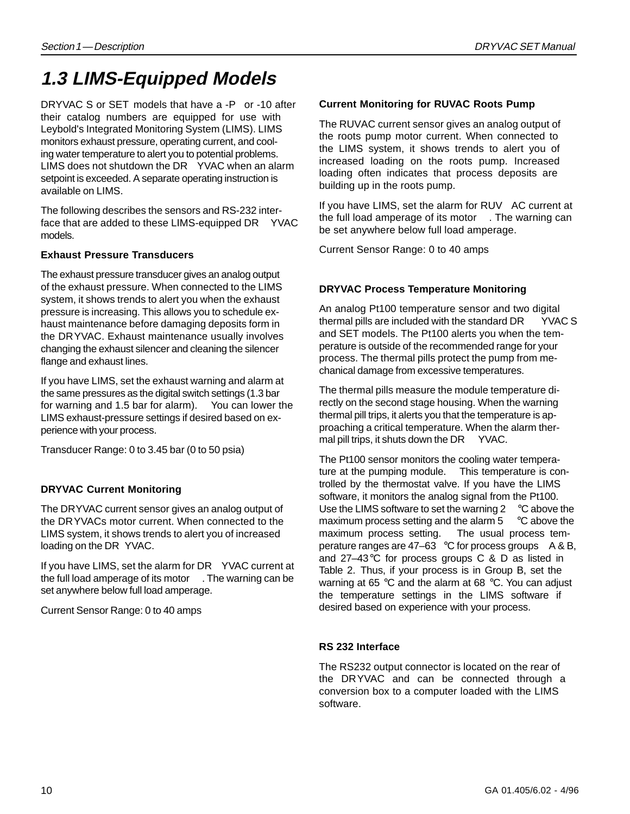### **1.3 LIMS-Equipped Models**

DRYVAC S or SET models that have a -P or -10 after their catalog numbers are equipped for use with Leybold's Integrated Monitoring System (LIMS). LIMS monitors exhaust pressure, operating current, and cooling water temperature to alert you to potential problems. LIMS does not shutdown the DR YVAC when an alarm setpoint is exceeded. A separate operating instruction is available on LIMS.

The following describes the sensors and RS-232 interface that are added to these LIMS-equipped DR YVAC models.

#### **Exhaust Pressure Transducers**

The exhaust pressure transducer gives an analog output of the exhaust pressure. When connected to the LIMS system, it shows trends to alert you when the exhaust pressure is increasing. This allows you to schedule exhaust maintenance before damaging deposits form in the DRYVAC. Exhaust maintenance usually involves changing the exhaust silencer and cleaning the silencer flange and exhaust lines.

If you have LIMS, set the exhaust warning and alarm at the same pressures as the digital switch settings (1.3 bar for warning and 1.5 bar for alarm). You can lower the LIMS exhaust-pressure settings if desired based on experience with your process.

Transducer Range: 0 to 3.45 bar (0 to 50 psia)

#### **DRYVAC Current Monitoring**

The DRYVAC current sensor gives an analog output of the DRYVACs motor current. When connected to the LIMS system, it shows trends to alert you of increased loading on the DR YVAC.

If you have LIMS, set the alarm for DR YVAC current at the full load amperage of its motor . The warning can be set anywhere below full load amperage.

Current Sensor Range: 0 to 40 amps

#### **Current Monitoring for RUVAC Roots Pump**

The RUVAC current sensor gives an analog output of the roots pump motor current. When connected to the LIMS system, it shows trends to alert you of increased loading on the roots pump. Increased loading often indicates that process deposits are building up in the roots pump.

If you have LIMS, set the alarm for RUV AC current at the full load amperage of its motor . The warning can be set anywhere below full load amperage.

Current Sensor Range: 0 to 40 amps

#### **DRYVAC Process Temperature Monitoring**

An analog Pt100 temperature sensor and two digital thermal pills are included with the standard DR YVAC S and SET models. The Pt100 alerts you when the temperature is outside of the recommended range for your process. The thermal pills protect the pump from mechanical damage from excessive temperatures.

The thermal pills measure the module temperature directly on the second stage housing. When the warning thermal pill trips, it alerts you that the temperature is approaching a critical temperature. When the alarm thermal pill trips, it shuts down the DR YVAC.

The Pt100 sensor monitors the cooling water temperature at the pumping module. This temperature is controlled by the thermostat valve. If you have the LIMS software, it monitors the analog signal from the Pt100. Use the LIMS software to set the warning 2 °C above the maximum process setting and the alarm 5 °C above the maximum process setting. The usual process temperature ranges are 47–63 °C for process groups A & B, and 27–43°C for process groups C & D as listed in Table 2. Thus, if your process is in Group B, set the warning at 65 °C and the alarm at 68 °C. You can adjust the temperature settings in the LIMS software if desired based on experience with your process.

#### **RS 232 Interface**

The RS232 output connector is located on the rear of the DRYVAC and can be connected through a conversion box to a computer loaded with the LIMS software.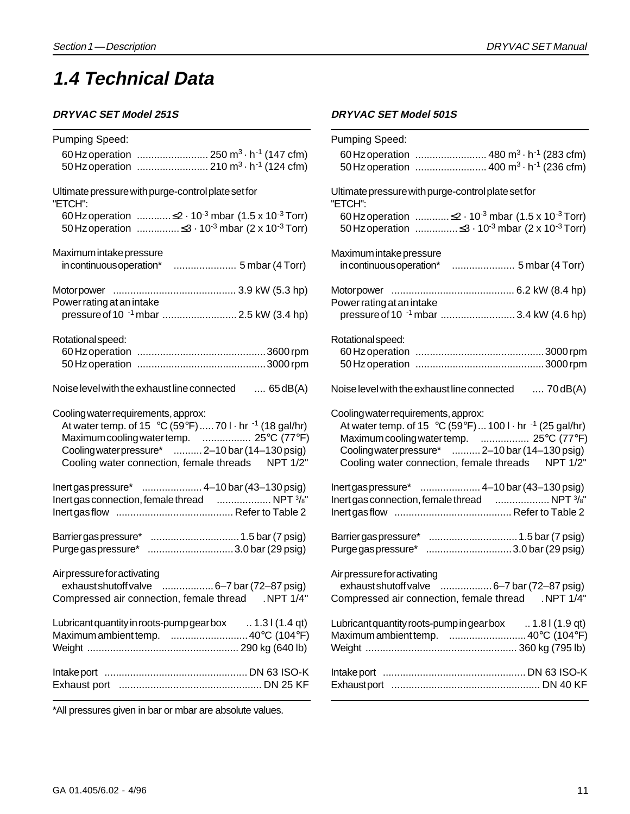### **1.4 Technical Data**

#### **DRYVAC SET Model 251S**

| Pumping Speed:                                                                                                                      | Pu                      |
|-------------------------------------------------------------------------------------------------------------------------------------|-------------------------|
| 60 Hz operation  250 m <sup>3</sup> $\cdot$ h <sup>-1</sup> (147 cfm)                                                               | $\epsilon$              |
| 50 Hz operation  210 m <sup>3</sup> · h <sup>-1</sup> (124 cfm)                                                                     | Ę                       |
| Ultimate pressure with purge-control plate set for                                                                                  | Ult                     |
| "ETCH":                                                                                                                             | "E1                     |
| 60 Hz operation $\leq$ 2 $\cdot$ 10 <sup>-3</sup> mbar (1.5 x 10 <sup>-3</sup> Torr)                                                | $\epsilon$              |
|                                                                                                                                     | Ę                       |
| Maximum intake pressure                                                                                                             | Ма                      |
|                                                                                                                                     | jj                      |
|                                                                                                                                     | Mc                      |
| Power rating at an intake                                                                                                           | Po                      |
| pressure of 10 <sup>-1</sup> mbar  2.5 kW (3.4 hp)                                                                                  | $\mathsf{r}$            |
| Rotational speed:                                                                                                                   | Ro                      |
|                                                                                                                                     | $\epsilon$              |
|                                                                                                                                     | Ę                       |
| Noise level with the exhaust line connected  65 dB(A)                                                                               | No                      |
| Cooling water requirements, approx:                                                                                                 | Co                      |
| At water temp. of 15 °C (59°F)  70 $1 \cdot$ hr <sup>-1</sup> (18 gal/hr)                                                           | $\overline{1}$          |
| Maximum cooling water temp.  25°C (77°F)                                                                                            | Ŋ                       |
| Cooling water pressure*  2-10 bar (14-130 psig)                                                                                     | C                       |
| Cooling water connection, female threads NPT 1/2"                                                                                   | $\overline{a}$          |
|                                                                                                                                     | Ine                     |
| lnert gas connection, female thread  NPT 3/8"                                                                                       | Ine                     |
|                                                                                                                                     | Ine                     |
| Barrier gas pressure*  1.5 bar (7 psig)                                                                                             | Ba                      |
| Purge gas pressure* 3.0 bar (29 psig)                                                                                               | Pu                      |
| Air pressure for activating<br>exhaust shutoff valve  6-7 bar (72-87 psig)<br>Compressed air connection, female thread<br>.NPT 1/4" | Air<br>$\epsilon$<br>Co |
| Lubricant quantity in roots-pump gearbox  1.31 (1.4 qt)                                                                             | Lul                     |
| Maximum ambient temp.  40°C (104°F)                                                                                                 | Ма                      |
|                                                                                                                                     | We                      |
|                                                                                                                                     | Inta                    |
|                                                                                                                                     | Exl                     |
|                                                                                                                                     |                         |

#### **DRYVAC SET Model 501S**

| Pumping Speed:                                                                                                                     |
|------------------------------------------------------------------------------------------------------------------------------------|
| 60 Hz operation  480 m <sup>3</sup> · h <sup>-1</sup> (283 cfm)<br>50 Hz operation  400 m <sup>3</sup> · h <sup>-1</sup> (236 cfm) |
|                                                                                                                                    |
| Ultimate pressure with purge-control plate set for<br>"ETCH":                                                                      |
| 60 Hz operation $\leq$ 2 $\cdot$ 10 <sup>-3</sup> mbar (1.5 x 10 <sup>-3</sup> Torr)                                               |
|                                                                                                                                    |
| Maximum intake pressure                                                                                                            |
|                                                                                                                                    |
| Power rating at an intake                                                                                                          |
| Rotational speed:                                                                                                                  |
|                                                                                                                                    |
|                                                                                                                                    |
| Noise level with the exhaust line connected<br>$70dB(A)$                                                                           |
| Cooling water requirements, approx:<br>At water temp. of 15 °C (59°F)  100 I $\cdot$ hr $^{-1}$ (25 gal/hr)                        |
| Maximum cooling water temp.  25°C (77°F)                                                                                           |
| Cooling water pressure*  2-10 bar (14-130 psig)<br>Cooling water connection, female threads NPT 1/2"                               |
| Inertgaspressure*  4-10 bar (43-130 psig)                                                                                          |
| Inert gas connection, female thread  NPT 3/8"                                                                                      |
|                                                                                                                                    |
|                                                                                                                                    |
| Purge gas pressure* 3.0 bar (29 psig)                                                                                              |
| Air pressure for activating                                                                                                        |
| Compressed air connection, female thread NPT 1/4"                                                                                  |
| Lubricant quantity roots-pump in gear box  1.8 I (1.9 qt)                                                                          |
| Maximum ambient temp.  40°C (104°F)                                                                                                |
|                                                                                                                                    |
|                                                                                                                                    |
|                                                                                                                                    |

\*All pressures given in bar or mbar are absolute values.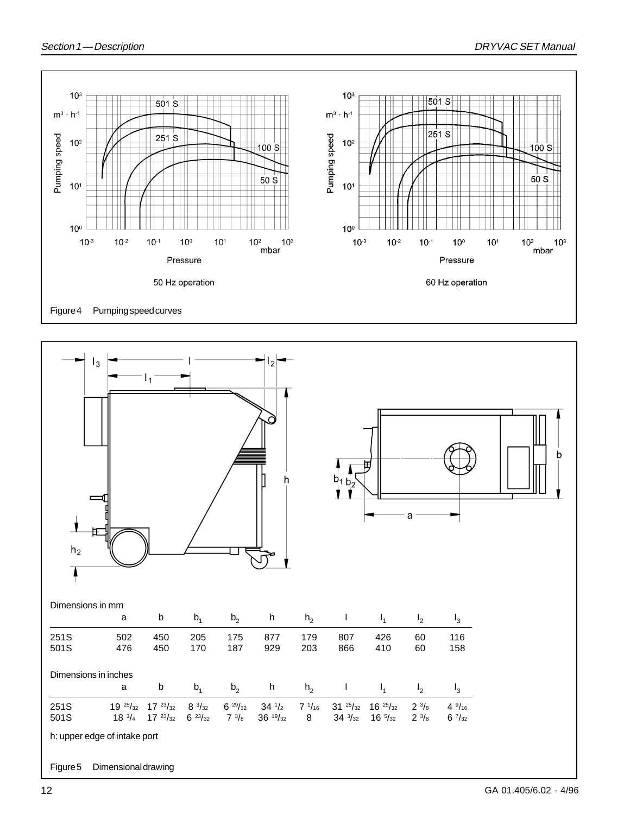![](_page_11_Figure_2.jpeg)

![](_page_11_Figure_3.jpeg)

GA 01.405/6.02 - 4/96

12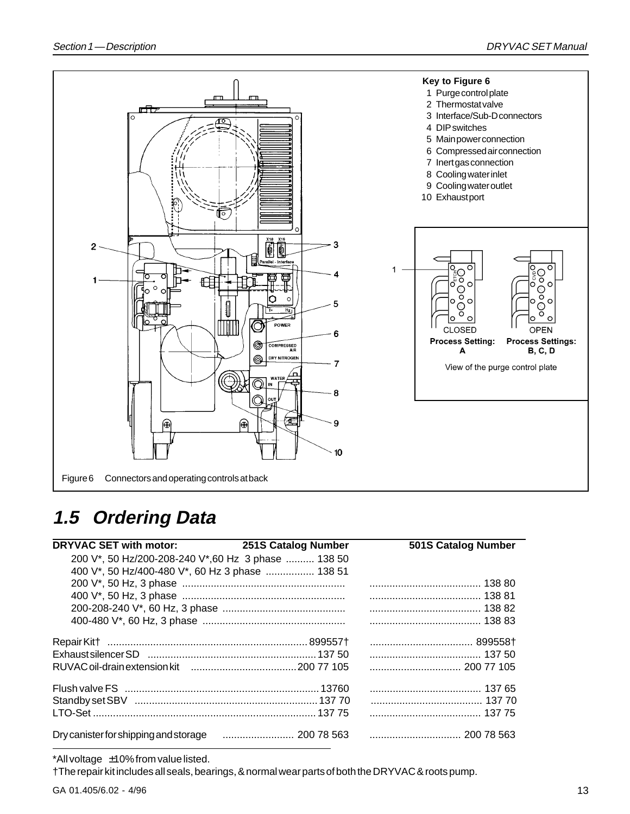![](_page_12_Figure_2.jpeg)

### **1.5 Ordering Data**

| DRYVAC SET with motor: 251S Catalog Number          | 501S Catalog Number |
|-----------------------------------------------------|---------------------|
| 200 V*, 50 Hz/200-208-240 V*, 60 Hz 3 phase  138 50 |                     |
| 400 V*, 50 Hz/400-480 V*, 60 Hz 3 phase  138 51     |                     |
|                                                     |                     |
|                                                     |                     |
|                                                     |                     |
|                                                     |                     |
|                                                     |                     |
|                                                     |                     |
|                                                     |                     |
|                                                     |                     |
|                                                     |                     |
|                                                     |                     |
|                                                     | 200 78 563          |

\*All voltage ±10% from value listed.

†The repair kit includes all seals, bearings, & normal wear parts of both the DRYVAC & roots pump.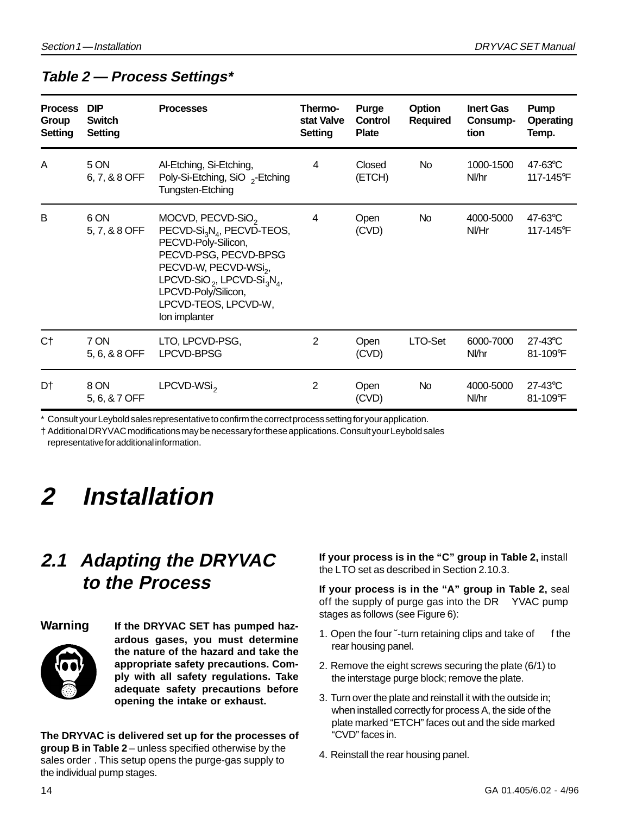### **Table 2 — Process Settings\***

| <b>Process</b><br>Group<br><b>Setting</b> | <b>DIP</b><br><b>Switch</b><br>Setting | <b>Processes</b>                                                                                                                                                                                                                                                                                            | Thermo-<br>stat Valve<br>Setting | <b>Purge</b><br>Control<br><b>Plate</b> | Option<br><b>Required</b> | <b>Inert Gas</b><br>Consump-<br>tion | Pump<br><b>Operating</b><br>Temp. |
|-------------------------------------------|----------------------------------------|-------------------------------------------------------------------------------------------------------------------------------------------------------------------------------------------------------------------------------------------------------------------------------------------------------------|----------------------------------|-----------------------------------------|---------------------------|--------------------------------------|-----------------------------------|
| A                                         | 5 ON<br>6, 7, & 8 OFF                  | Al-Etching, Si-Etching,<br>Poly-Si-Etching, SiO <sub>2</sub> -Etching<br>Tungsten-Etching                                                                                                                                                                                                                   | 4                                | Closed<br>(ETCH)                        | No.                       | 1000-1500<br>Nl/hr                   | 47-63°C<br>117-145°F              |
| B                                         | 6 ON<br>5, 7, & 8 OFF                  | MOCVD, PECVD-SiO <sub>2</sub><br>PECVD-Si <sub>3</sub> N <sub>4</sub> , PECVD-TEOS,<br>PECVD-Poly-Silicon,<br>PECVD-PSG, PECVD-BPSG<br>PECVD-W, PECVD-WSi <sub>2</sub> ,<br>LPCVD-SiO <sub>2</sub> , LPCVD-Si <sub>3</sub> N <sub>4</sub> ,<br>LPCVD-Poly/Silicon,<br>LPCVD-TEOS, LPCVD-W,<br>Ion implanter | 4                                | Open<br>(CVD)                           | No                        | 4000-5000<br>NI/Hr                   | $47-63$ °C<br>117-145°F           |
| C†                                        | 7 ON<br>5, 6, & 8 OFF                  | LTO, LPCVD-PSG,<br>LPCVD-BPSG                                                                                                                                                                                                                                                                               | 2                                | Open<br>(CVD)                           | LTO-Set                   | 6000-7000<br>Nl/hr                   | 27-43°C<br>81-109°F               |
| D†                                        | 8 ON<br>5, 6, & 7 OFF                  | LPCVD-WSi <sub>2</sub>                                                                                                                                                                                                                                                                                      | $\overline{2}$                   | Open<br>(CVD)                           | No                        | 4000-5000<br>Nl/hr                   | 27-43°C<br>81-109°F               |

Consult your Leybold sales representative to confirm the correct process setting for your application.

† Additional DRYVAC modifications may be necessary for these applications. Consult your Leybold sales representative for additional information.

# **2 Installation**

### **2.1 Adapting the DRYVAC to the Process**

![](_page_13_Picture_9.jpeg)

**Warning If the DRYVAC SET has pumped hazardous gases, you must determine the nature of the hazard and take the appropriate safety precautions. Comply with all safety regulations. Take adequate safety precautions before opening the intake or exhaust.**

**The DRYVAC is delivered set up for the processes of group B in Table 2** – unless specified otherwise by the sales order . This setup opens the purge-gas supply to the individual pump stages.

**If your process is in the "C" group in Table 2,** install the LTO set as described in Section 2.10.3.

**If your process is in the "A" group in Table 2,** seal off the supply of purge gas into the DR YVAC pump stages as follows (see Figure 6):

- 1. Open the four "-turn retaining clips and take of f the rear housing panel.
- 2. Remove the eight screws securing the plate (6/1) to the interstage purge block; remove the plate.
- 3. Turn over the plate and reinstall it with the outside in; when installed correctly for process A, the side of the plate marked "ETCH" faces out and the side marked "CVD" faces in.
- 4. Reinstall the rear housing panel.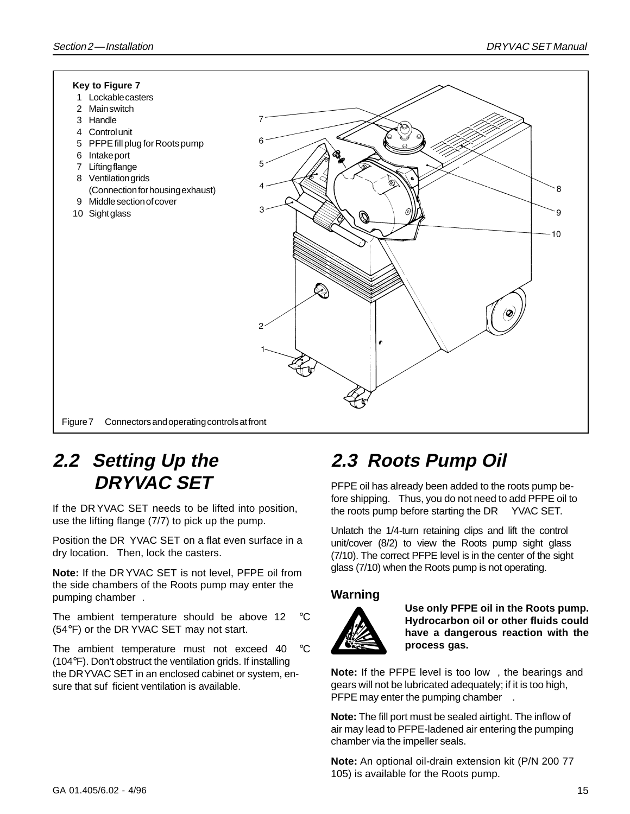![](_page_14_Figure_2.jpeg)

### **2.2 Setting Up the DRYVAC SET**

If the DR YVAC SET needs to be lifted into position, use the lifting flange (7/7) to pick up the pump.

Position the DR YVAC SET on a flat even surface in a dry location. Then, lock the casters.

**Note:** If the DR YVAC SET is not level, PFPE oil from the side chambers of the Roots pump may enter the pumping chamber .

The ambient temperature should be above 12 °C (54°F) or the DR YVAC SET may not start.

The ambient temperature must not exceed 40 °C (104°F). Don't obstruct the ventilation grids. If installing the DRYVAC SET in an enclosed cabinet or system, ensure that suf ficient ventilation is available.

## **2.3 Roots Pump Oil**

PFPE oil has already been added to the roots pump before shipping. Thus, you do not need to add PFPE oil to the roots pump before starting the DR YVAC SET.

Unlatch the 1/4-turn retaining clips and lift the control unit/cover (8/2) to view the Roots pump sight glass (7/10). The correct PFPE level is in the center of the sight glass (7/10) when the Roots pump is not operating.

#### **Warning**

![](_page_14_Picture_13.jpeg)

**Use only PFPE oil in the Roots pump. Hydrocarbon oil or other fluids could have a dangerous reaction with the process gas.**

**Note:** If the PFPE level is too low , the bearings and gears will not be lubricated adequately; if it is too high, PFPE may enter the pumping chamber .

**Note:** The fill port must be sealed airtight. The inflow of air may lead to PFPE-ladened air entering the pumping chamber via the impeller seals.

**Note:** An optional oil-drain extension kit (P/N 200 77 105) is available for the Roots pump.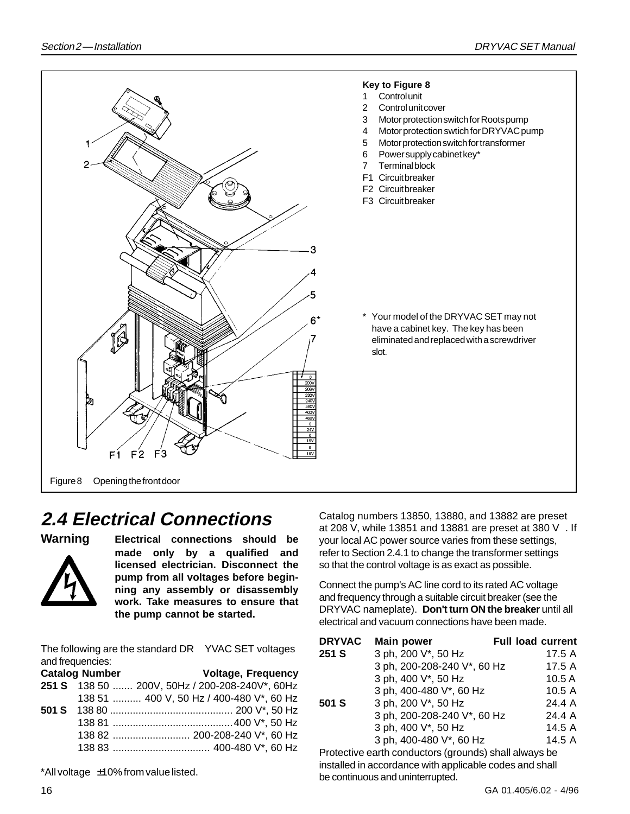![](_page_15_Picture_2.jpeg)

### **2.4 Electrical Connections**

![](_page_15_Picture_5.jpeg)

**Warning Electrical connections should be made only by a qualified and licensed electrician. Disconnect the pump from all voltages before beginning any assembly or disassembly work. Take measures to ensure that the pump cannot be started.**

The following are the standard DR YVAC SET voltages and frequencies:

|  | <b>Voltage, Frequency</b>                      |
|--|------------------------------------------------|
|  | 251 S 138 50  200V, 50Hz / 200-208-240V*, 60Hz |
|  | 138 51  400 V, 50 Hz / 400-480 V*, 60 Hz       |
|  |                                                |
|  |                                                |
|  | 138 82  200-208-240 V*, 60 Hz                  |
|  |                                                |
|  | <b>Catalog Number</b>                          |

\*All voltage ±10% from value listed.

Catalog numbers 13850, 13880, and 13882 are preset at 208 V, while 13851 and 13881 are preset at 380 V . If your local AC power source varies from these settings, refer to Section 2.4.1 to change the transformer settings so that the control voltage is as exact as possible.

Connect the pump's AC line cord to its rated AC voltage and frequency through a suitable circuit breaker (see the DRYVAC nameplate). **Don't turn ON the breaker** until all electrical and vacuum connections have been made.

| <b>DRYVAC</b> | <b>Main power</b>           | <b>Full load current</b> |
|---------------|-----------------------------|--------------------------|
| 251 S         | 3 ph, 200 V*, 50 Hz         | 17.5 A                   |
|               | 3 ph, 200-208-240 V*, 60 Hz | 17.5 A                   |
|               | 3 ph, 400 V*, 50 Hz         | 10.5A                    |
|               | 3 ph, 400-480 V*, 60 Hz     | 10.5A                    |
| 501 S         | 3 ph, 200 V*, 50 Hz         | 24.4 A                   |
|               | 3 ph, 200-208-240 V*, 60 Hz | 24.4 A                   |
|               | 3 ph, 400 V*, 50 Hz         | 14.5 A                   |
|               | 3 ph, 400-480 V*, 60 Hz     | 14.5 A                   |
|               |                             |                          |

Protective earth conductors (grounds) shall always be installed in accordance with applicable codes and shall be continuous and uninterrupted.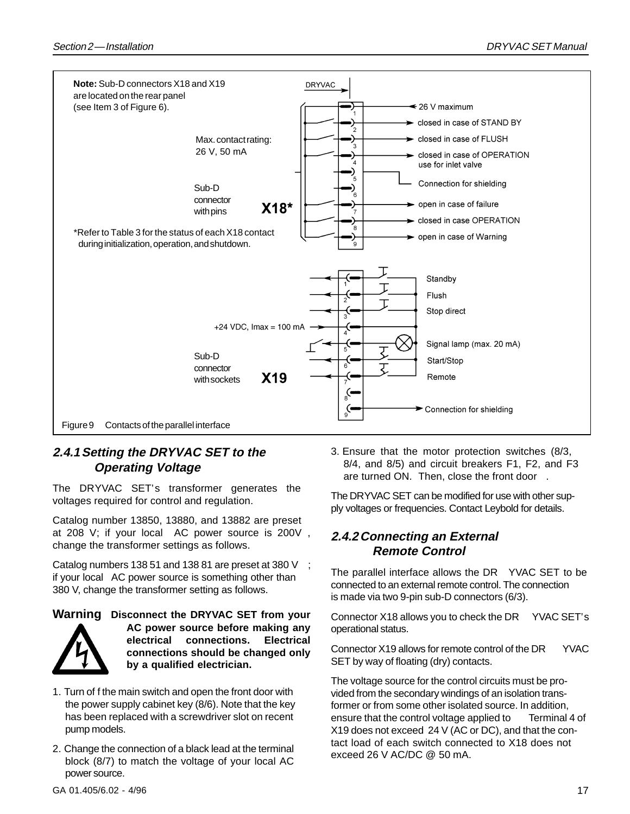![](_page_16_Figure_2.jpeg)

#### **2.4.1Setting the DRYVAC SET to the Operating Voltage**

The DRYVAC SET's transformer generates the voltages required for control and regulation.

Catalog number 13850, 13880, and 13882 are preset at 208 V; if your local AC power source is 200V , change the transformer settings as follows.

Catalog numbers 138 51 and 138 81 are preset at 380 V ; if your local AC power source is something other than 380 V, change the transformer setting as follows.

#### **Warning Disconnect the DRYVAC SET from your**

![](_page_16_Picture_8.jpeg)

**AC power source before making any electrical connections. Electrical connections should be changed only by a qualified electrician.**

- 1. Turn of f the main switch and open the front door with the power supply cabinet key (8/6). Note that the key has been replaced with a screwdriver slot on recent pump models.
- 2. Change the connection of a black lead at the terminal block (8/7) to match the voltage of your local AC power source.

3. Ensure that the motor protection switches (8/3, 8/4, and 8/5) and circuit breakers F1, F2, and F3 are turned ON. Then, close the front door

The DRYVAC SET can be modified for use with other supply voltages or frequencies. Contact Leybold for details.

#### **2.4.2Connecting an External Remote Control**

The parallel interface allows the DR YVAC SET to be connected to an external remote control. The connection is made via two 9-pin sub-D connectors (6/3).

Connector X18 allows you to check the DR YVAC SET's operational status.

Connector X19 allows for remote control of the DR YVAC SET by way of floating (dry) contacts.

The voltage source for the control circuits must be provided from the secondary windings of an isolation transformer or from some other isolated source. In addition, ensure that the control voltage applied to Terminal 4 of X19 does not exceed 24 V (AC or DC), and that the contact load of each switch connected to X18 does not exceed 26 V AC/DC @ 50 mA.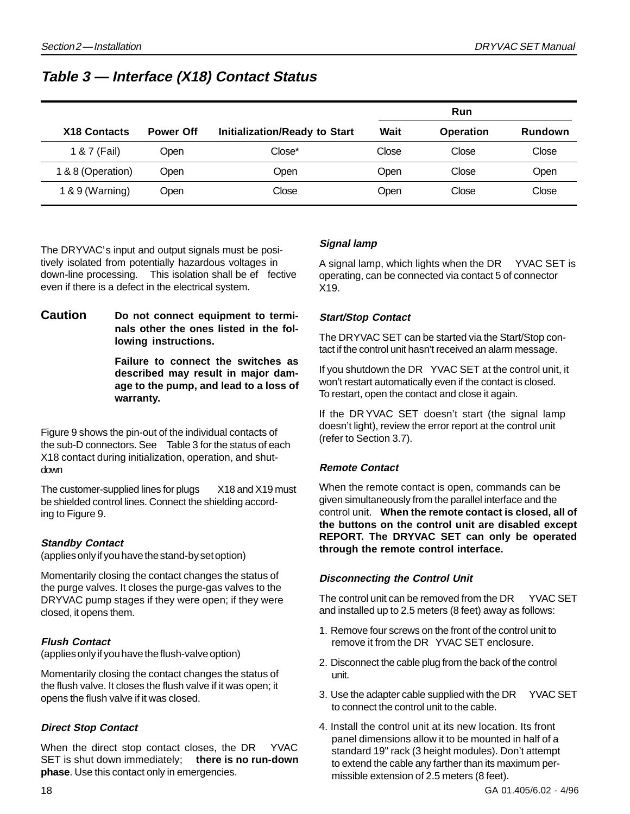### **Table 3 — Interface (X18) Contact Status**

|                     |                  |                                      |       | Run              |         |
|---------------------|------------------|--------------------------------------|-------|------------------|---------|
| <b>X18 Contacts</b> | <b>Power Off</b> | <b>Initialization/Ready to Start</b> | Wait  | <b>Operation</b> | Rundown |
| 1 & 7 (Fail)        | Open             | Close*                               | Close | Close            | Close   |
| 1 & 8 (Operation)   | <b>Open</b>      | Open                                 | Open  | Close            | Open    |
| $1 & 9$ (Warning)   | Open             | Close                                | Open  | Close            | Close   |

The DRYVAC's input and output signals must be positively isolated from potentially hazardous voltages in down-line processing. This isolation shall be ef fective even if there is a defect in the electrical system.

**Caution Do not connect equipment to terminals other the ones listed in the following instructions.**

> **Failure to connect the switches as described may result in major damage to the pump, and lead to a loss of warranty.**

Figure 9 shows the pin-out of the individual contacts of the sub-D connectors. See Table 3 for the status of each X18 contact during initialization, operation, and shutdown

The customer-supplied lines for plugs X18 and X19 must be shielded control lines. Connect the shielding according to Figure 9.

#### **Standby Contact**

(applies only if you have the stand-by set option)

Momentarily closing the contact changes the status of the purge valves. It closes the purge-gas valves to the DRYVAC pump stages if they were open; if they were closed, it opens them.

#### **Flush Contact**

(applies only if you have the flush-valve option)

Momentarily closing the contact changes the status of the flush valve. It closes the flush valve if it was open; it opens the flush valve if it was closed.

#### **Direct Stop Contact**

When the direct stop contact closes, the DR YVAC SET is shut down immediately; **there is no run-down phase**. Use this contact only in emergencies.

#### **Signal lamp**

A signal lamp, which lights when the DR YVAC SET is operating, can be connected via contact 5 of connector X19.

#### **Start/Stop Contact**

The DRYVAC SET can be started via the Start/Stop contact if the control unit hasn't received an alarm message.

If you shutdown the DR YVAC SET at the control unit, it won't restart automatically even if the contact is closed. To restart, open the contact and close it again.

If the DR YVAC SET doesn't start (the signal lamp doesn't light), review the error report at the control unit (refer to Section 3.7).

#### **Remote Contact**

When the remote contact is open, commands can be given simultaneously from the parallel interface and the control unit. **When the remote contact is closed, all of the buttons on the control unit are disabled except REPORT. The DRYVAC SET can only be operated through the remote control interface.**

#### **Disconnecting the Control Unit**

The control unit can be removed from the DR YVAC SET and installed up to 2.5 meters (8 feet) away as follows:

- 1. Remove four screws on the front of the control unit to remove it from the DR YVAC SET enclosure.
- 2. Disconnect the cable plug from the back of the control unit.
- 3. Use the adapter cable supplied with the DR YVAC SET to connect the control unit to the cable.
- 4. Install the control unit at its new location. Its front panel dimensions allow it to be mounted in half of a standard 19" rack (3 height modules). Don't attempt to extend the cable any farther than its maximum permissible extension of 2.5 meters (8 feet).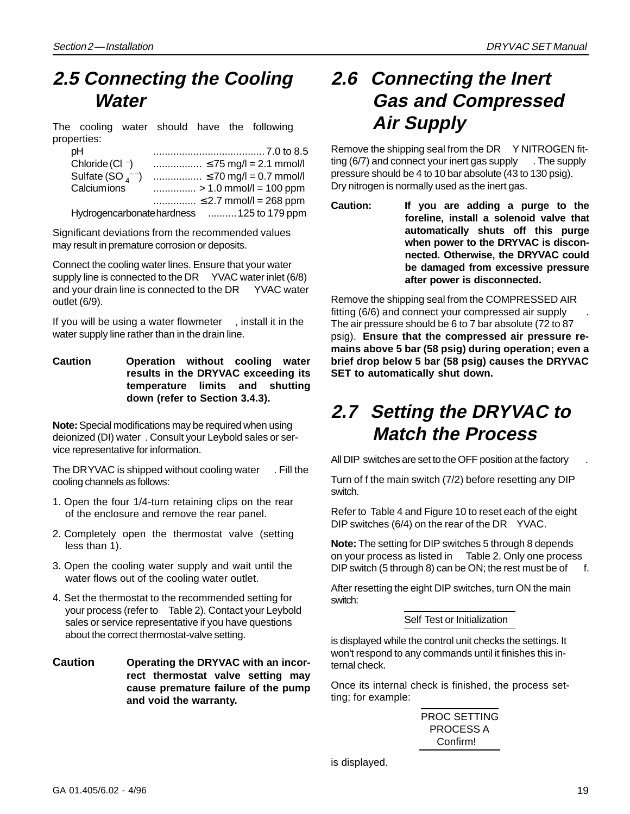### **2.5 Connecting the Cooling Water**

The cooling water should have the following properties:

| pН                               |                                            |
|----------------------------------|--------------------------------------------|
| Chloride (Cl $\bar{\ }$ )        |                                            |
| Sulfate (SO $_4$ <sup>--</sup> ) |                                            |
| Calciumions                      |                                            |
|                                  | $\leq$ 2.7 mmol/l = 268 ppm                |
|                                  | Hydrogencarbonate hardness  125 to 179 ppm |

Significant deviations from the recommended values may result in premature corrosion or deposits.

Connect the cooling water lines. Ensure that your water supply line is connected to the DR YVAC water inlet (6/8) and your drain line is connected to the DR YVAC water outlet (6/9).

If you will be using a water flowmeter , install it in the water supply line rather than in the drain line.

**Caution Operation without cooling water results in the DRYVAC exceeding its temperature limits and shutting down (refer to Section 3.4.3).**

**Note:** Special modifications may be required when using deionized (DI) water . Consult your Leybold sales or service representative for information.

The DRYVAC is shipped without cooling water . Fill the cooling channels as follows:

- 1. Open the four 1/4-turn retaining clips on the rear of the enclosure and remove the rear panel.
- 2. Completely open the thermostat valve (setting less than 1).
- 3. Open the cooling water supply and wait until the water flows out of the cooling water outlet.
- 4. Set the thermostat to the recommended setting for your process (refer to Table 2). Contact your Leybold sales or service representative if you have questions about the correct thermostat-valve setting.
- **Caution Operating the DRYVAC with an incorrect thermostat valve setting may cause premature failure of the pump and void the warranty.**

### **2.6 Connecting the Inert Gas and Compressed Air Supply**

Remove the shipping seal from the DR Y NITROGEN fitting (6/7) and connect your inert gas supply . The supply pressure should be 4 to 10 bar absolute (43 to 130 psig). Dry nitrogen is normally used as the inert gas.

**Caution: If you are adding a purge to the foreline, install a solenoid valve that automatically shuts off this purge when power to the DRYVAC is disconnected. Otherwise, the DRYVAC could be damaged from excessive pressure after power is disconnected.**

Remove the shipping seal from the COMPRESSED AIR fitting (6/6) and connect your compressed air supply . The air pressure should be 6 to 7 bar absolute (72 to 87 psig). **Ensure that the compressed air pressure remains above 5 bar (58 psig) during operation; even a brief drop below 5 bar (58 psig) causes the DRYVAC SET to automatically shut down.**

### **2.7 Setting the DRYVAC to Match the Process**

All DIP switches are set to the OFF position at the factory

Turn of f the main switch (7/2) before resetting any DIP switch.

Refer to Table 4 and Figure 10 to reset each of the eight DIP switches (6/4) on the rear of the DR YVAC.

**Note:** The setting for DIP switches 5 through 8 depends on your process as listed in Table 2. Only one process DIP switch (5 through 8) can be ON; the rest must be of  $f$ .

After resetting the eight DIP switches, turn ON the main switch:

#### Self Test or Initialization

is displayed while the control unit checks the settings. It won't respond to any commands until it finishes this internal check.

Once its internal check is finished, the process setting; for example:

PROC SETTING PROCESS A Confirm!

is displayed.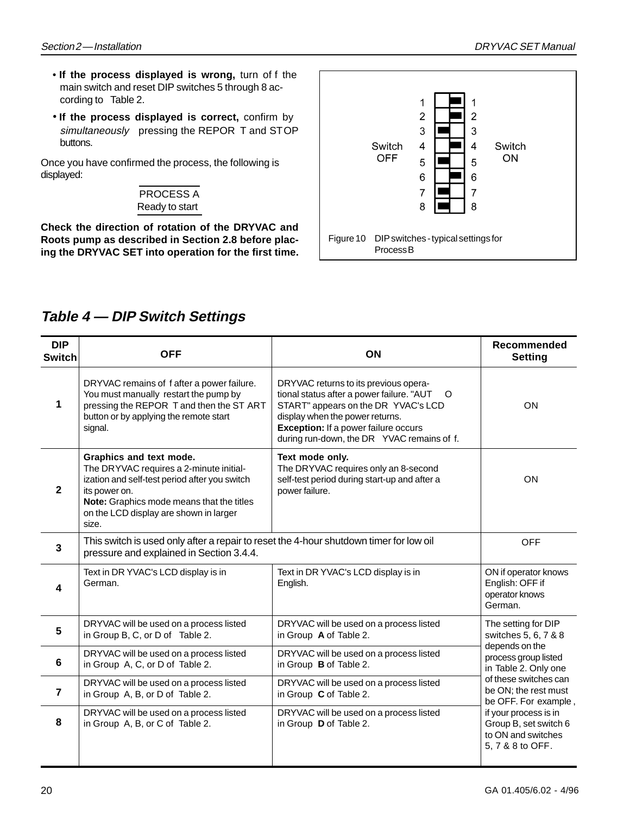- **If the process displayed is wrong,** turn of f the main switch and reset DIP switches 5 through 8 according to Table 2.
- **If the process displayed is correct,** confirm by simultaneously pressing the REPOR T and STOP buttons.

Once you have confirmed the process, the following is displayed:

![](_page_19_Picture_5.jpeg)

**Check the direction of rotation of the DRYVAC and Roots pump as described in Section 2.8 before placing the DRYVAC SET into operation for the first time.**

![](_page_19_Figure_7.jpeg)

### **Table 4 — DIP Switch Settings**

| <b>DIP</b><br><b>Switch</b> | <b>OFF</b>                                                                                                                                                                                                                           | ON                                                                                                                                                                                                                                                                   | Recommended<br><b>Setting</b>                                                            |  |
|-----------------------------|--------------------------------------------------------------------------------------------------------------------------------------------------------------------------------------------------------------------------------------|----------------------------------------------------------------------------------------------------------------------------------------------------------------------------------------------------------------------------------------------------------------------|------------------------------------------------------------------------------------------|--|
| 1                           | DRYVAC remains of fafter a power failure.<br>You must manually restart the pump by<br>pressing the REPOR T and then the ST ART<br>button or by applying the remote start<br>signal.                                                  | DRYVAC returns to its previous opera-<br>tional status after a power failure. "AUT<br>$\circ$<br>START" appears on the DR YVAC's LCD<br>display when the power returns.<br><b>Exception:</b> If a power failure occurs<br>during run-down, the DR YVAC remains of f. | <b>ON</b>                                                                                |  |
| $\mathbf{2}$                | Graphics and text mode.<br>The DRYVAC requires a 2-minute initial-<br>ization and self-test period after you switch<br>its power on.<br>Note: Graphics mode means that the titles<br>on the LCD display are shown in larger<br>size. | Text mode only.<br>The DRYVAC requires only an 8-second<br>self-test period during start-up and after a<br>power failure.                                                                                                                                            | ON                                                                                       |  |
| 3                           | This switch is used only after a repair to reset the 4-hour shutdown timer for low oil<br>pressure and explained in Section 3.4.4.                                                                                                   |                                                                                                                                                                                                                                                                      | <b>OFF</b>                                                                               |  |
| 4                           | Text in DR YVAC's LCD display is in<br>German.                                                                                                                                                                                       | Text in DR YVAC's LCD display is in<br>English.                                                                                                                                                                                                                      | ON if operator knows<br>English: OFF if<br>operator knows<br>German.                     |  |
| 5                           | DRYVAC will be used on a process listed<br>in Group B, C, or D of Table 2.                                                                                                                                                           | DRYVAC will be used on a process listed<br>in Group A of Table 2.                                                                                                                                                                                                    | The setting for DIP<br>switches 5, 6, 7 & 8                                              |  |
| 6                           | DRYVAC will be used on a process listed<br>in Group A, C, or D of Table 2.                                                                                                                                                           | DRYVAC will be used on a process listed<br>in Group B of Table 2.                                                                                                                                                                                                    | depends on the<br>process group listed<br>in Table 2. Only one                           |  |
| $\overline{7}$              | DRYVAC will be used on a process listed<br>in Group A, B, or D of Table 2.                                                                                                                                                           | DRYVAC will be used on a process listed<br>in Group C of Table 2.                                                                                                                                                                                                    | of these switches can<br>be ON; the rest must<br>be OFF. For example,                    |  |
| 8                           | DRYVAC will be used on a process listed<br>in Group A, B, or C of Table 2.                                                                                                                                                           | DRYVAC will be used on a process listed<br>in Group D of Table 2.                                                                                                                                                                                                    | if your process is in<br>Group B, set switch 6<br>to ON and switches<br>5, 7 & 8 to OFF. |  |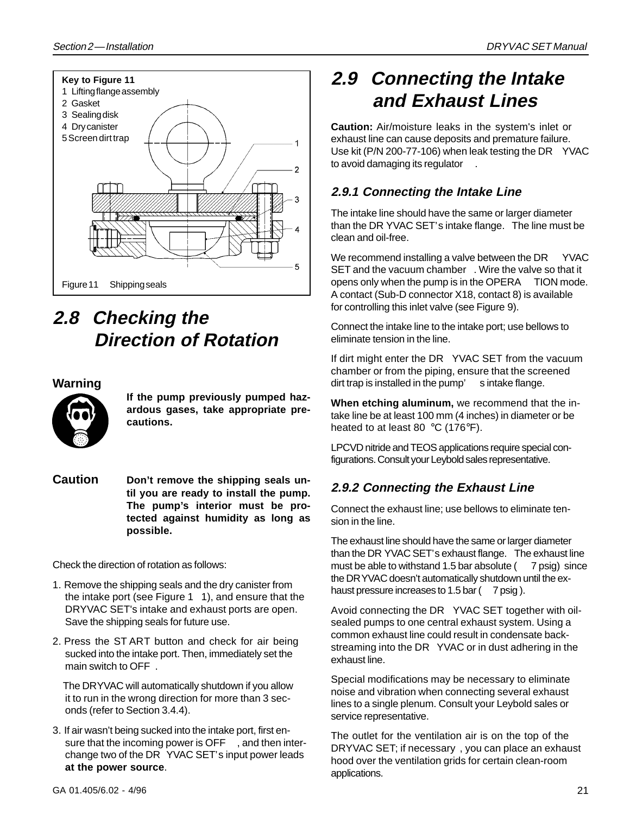![](_page_20_Figure_2.jpeg)

## **2.8 Checking the Direction of Rotation**

#### **Warning**

![](_page_20_Figure_5.jpeg)

**If the pump previously pumped hazardous gases, take appropriate precautions.**

**Caution Don't remove the shipping seals until you are ready to install the pump. The pump's interior must be protected against humidity as long as possible.**

Check the direction of rotation as follows:

- 1. Remove the shipping seals and the dry canister from the intake port (see Figure  $1 \quad 1$ ), and ensure that the DRYVAC SET's intake and exhaust ports are open. Save the shipping seals for future use.
- 2. Press the ST ART button and check for air being sucked into the intake port. Then, immediately set the main switch to OFF .

The DRYVAC will automatically shutdown if you allow it to run in the wrong direction for more than 3 seconds (refer to Section 3.4.4).

3. If air wasn't being sucked into the intake port, first ensure that the incoming power is OFF , and then interchange two of the DR YVAC SET's input power leads **at the power source**.

### **2.9 Connecting the Intake and Exhaust Lines**

**Caution:** Air/moisture leaks in the system's inlet or exhaust line can cause deposits and premature failure. Use kit (P/N 200-77-106) when leak testing the DR YVAC to avoid damaging its regulator .

#### **2.9.1 Connecting the Intake Line**

The intake line should have the same or larger diameter than the DR YVAC SET's intake flange. The line must be clean and oil-free.

We recommend installing a valve between the  $DR - YVAC$ SET and the vacuum chamber . Wire the valve so that it opens only when the pump is in the OPERA TION mode. A contact (Sub-D connector X18, contact 8) is available for controlling this inlet valve (see Figure 9).

Connect the intake line to the intake port; use bellows to eliminate tension in the line.

If dirt might enter the DR YVAC SET from the vacuum chamber or from the piping, ensure that the screened dirt trap is installed in the pump' s intake flange.

**When etching aluminum,** we recommend that the intake line be at least 100 mm (4 inches) in diameter or be heated to at least 80 °C (176°F).

LPCVD nitride and TEOS applications require special configurations. Consult your Leybold sales representative.

#### **2.9.2 Connecting the Exhaust Line**

Connect the exhaust line; use bellows to eliminate tension in the line.

The exhaust line should have the same or larger diameter than the DR YVAC SET's exhaust flange. The exhaust line must be able to withstand 1.5 bar absolute ( 7 psig) since the DRYVAC doesn't automatically shutdown until the exhaust pressure increases to 1.5 bar  $(7)$  psig ).

Avoid connecting the DR YVAC SET together with oilsealed pumps to one central exhaust system. Using a common exhaust line could result in condensate backstreaming into the DR YVAC or in dust adhering in the exhaust line.

Special modifications may be necessary to eliminate noise and vibration when connecting several exhaust lines to a single plenum. Consult your Leybold sales or service representative.

The outlet for the ventilation air is on the top of the DRYVAC SET; if necessary , you can place an exhaust hood over the ventilation grids for certain clean-room applications.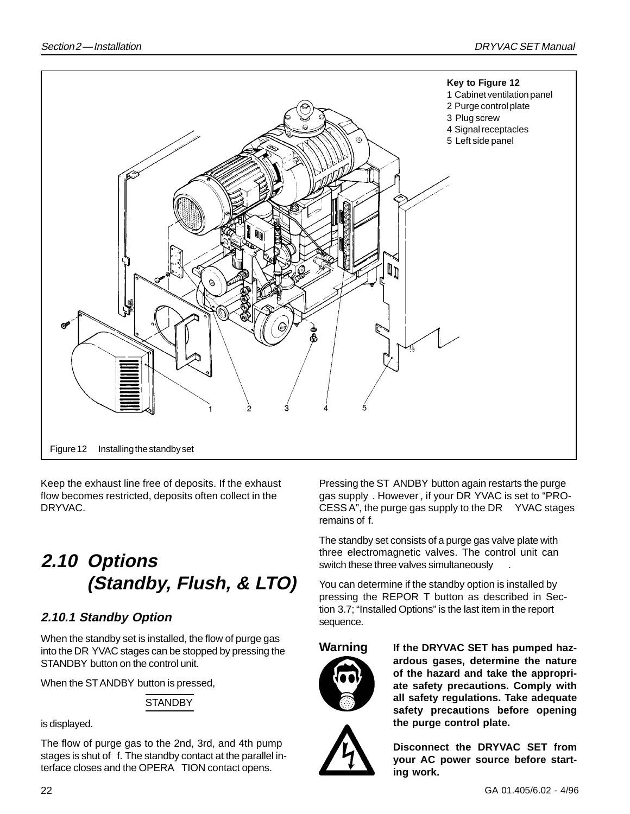![](_page_21_Figure_2.jpeg)

Keep the exhaust line free of deposits. If the exhaust flow becomes restricted, deposits often collect in the DRYVAC.

## **2.10 Options (Standby, Flush, & LTO)**

#### **2.10.1 Standby Option**

When the standby set is installed, the flow of purge gas into the DR YVAC stages can be stopped by pressing the STANDBY button on the control unit.

When the STANDBY button is pressed,

#### **STANDBY**

is displayed.

The flow of purge gas to the 2nd, 3rd, and 4th pump stages is shut of f. The standby contact at the parallel interface closes and the OPERA TION contact opens.

Pressing the ST ANDBY button again restarts the purge gas supply . However , if your DR YVAC is set to "PRO-CESS A", the purge gas supply to the DR YVAC stages remains of f.

The standby set consists of a purge gas valve plate with three electromagnetic valves. The control unit can switch these three valves simultaneously .

You can determine if the standby option is installed by pressing the REPOR T button as described in Section 3.7; "Installed Options" is the last item in the report sequence.

![](_page_21_Picture_15.jpeg)

**Warning If the DRYVAC SET has pumped hazardous gases, determine the nature of the hazard and take the appropriate safety precautions. Comply with all safety regulations. Take adequate safety precautions before opening the purge control plate.**

![](_page_21_Picture_17.jpeg)

**Disconnect the DRYVAC SET from your AC power source before starting work.**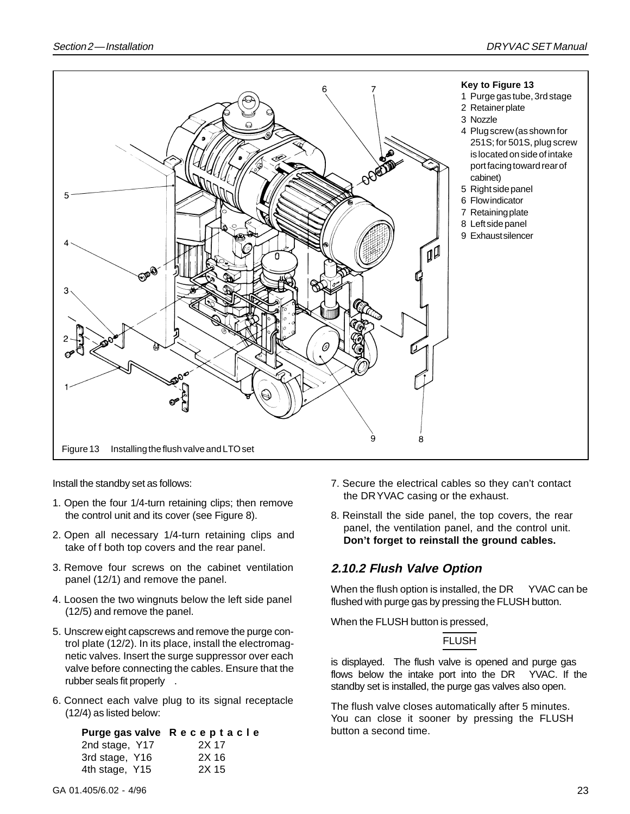![](_page_22_Figure_2.jpeg)

Install the standby set as follows:

- 1. Open the four 1/4-turn retaining clips; then remove the control unit and its cover (see Figure 8).
- 2. Open all necessary 1/4-turn retaining clips and take of f both top covers and the rear panel.
- 3. Remove four screws on the cabinet ventilation panel (12/1) and remove the panel.
- 4. Loosen the two wingnuts below the left side panel (12/5) and remove the panel.
- 5. Unscrew eight capscrews and remove the purge control plate (12/2). In its place, install the electromagnetic valves. Insert the surge suppressor over each valve before connecting the cables. Ensure that the rubber seals fit properly .
- 6. Connect each valve plug to its signal receptacle (12/4) as listed below:

```
Purge gas valve Receptacle
2nd stage, Y17 2X 17
3rd stage, Y16 2X 16
4th stage, Y15 2X 15
```
- 7. Secure the electrical cables so they can't contact the DRYVAC casing or the exhaust.
- 8. Reinstall the side panel, the top covers, the rear panel, the ventilation panel, and the control unit. **Don't forget to reinstall the ground cables.**

#### **2.10.2 Flush Valve Option**

When the flush option is installed, the DR YVAC can be flushed with purge gas by pressing the FLUSH button.

When the FLUSH button is pressed,

#### FLUSH

is displayed. The flush valve is opened and purge gas flows below the intake port into the DR YVAC. If the standby set is installed, the purge gas valves also open.

The flush valve closes automatically after 5 minutes. You can close it sooner by pressing the FLUSH button a second time.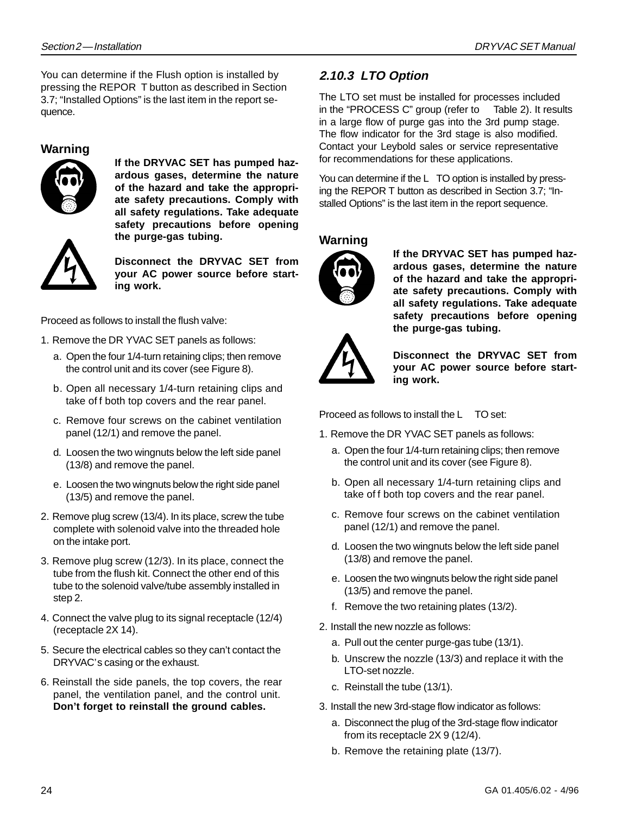You can determine if the Flush option is installed by pressing the REPOR T button as described in Section 3.7; "Installed Options" is the last item in the report sequence.

#### **Warning**

![](_page_23_Picture_4.jpeg)

**If the DRYVAC SET has pumped hazardous gases, determine the nature of the hazard and take the appropriate safety precautions. Comply with all safety regulations. Take adequate safety precautions before opening the purge-gas tubing.**

![](_page_23_Picture_6.jpeg)

**Disconnect the DRYVAC SET from your AC power source before starting work.**

Proceed as follows to install the flush valve:

- 1. Remove the DR YVAC SET panels as follows:
	- a. Open the four 1/4-turn retaining clips; then remove the control unit and its cover (see Figure 8).
	- b. Open all necessary 1/4-turn retaining clips and take of f both top covers and the rear panel.
	- c. Remove four screws on the cabinet ventilation panel (12/1) and remove the panel.
	- d. Loosen the two wingnuts below the left side panel (13/8) and remove the panel.
	- e. Loosen the two wingnuts below the right side panel (13/5) and remove the panel.
- 2. Remove plug screw (13/4). In its place, screw the tube complete with solenoid valve into the threaded hole on the intake port.
- 3. Remove plug screw (12/3). In its place, connect the tube from the flush kit. Connect the other end of this tube to the solenoid valve/tube assembly installed in step 2.
- 4. Connect the valve plug to its signal receptacle (12/4) (receptacle 2X 14).
- 5. Secure the electrical cables so they can't contact the DRYVAC's casing or the exhaust.
- 6. Reinstall the side panels, the top covers, the rear panel, the ventilation panel, and the control unit. **Don't forget to reinstall the ground cables.**

#### **2.10.3 LTO Option**

The LTO set must be installed for processes included in the "PROCESS C" group (refer to Table 2). It results in a large flow of purge gas into the 3rd pump stage. The flow indicator for the 3rd stage is also modified. Contact your Leybold sales or service representative for recommendations for these applications.

You can determine if the L TO option is installed by pressing the REPOR T button as described in Section 3.7; "Installed Options" is the last item in the report sequence.

#### **Warning**

![](_page_23_Picture_24.jpeg)

**If the DRYVAC SET has pumped hazardous gases, determine the nature of the hazard and take the appropriate safety precautions. Comply with all safety regulations. Take adequate safety precautions before opening the purge-gas tubing.**

![](_page_23_Picture_26.jpeg)

**Disconnect the DRYVAC SET from your AC power source before starting work.**

Proceed as follows to install the L TO set:

- 1. Remove the DR YVAC SET panels as follows:
	- a. Open the four 1/4-turn retaining clips; then remove the control unit and its cover (see Figure 8).
	- b. Open all necessary 1/4-turn retaining clips and take of f both top covers and the rear panel.
	- c. Remove four screws on the cabinet ventilation panel (12/1) and remove the panel.
	- d. Loosen the two wingnuts below the left side panel (13/8) and remove the panel.
	- e. Loosen the two wingnuts below the right side panel (13/5) and remove the panel.
	- f. Remove the two retaining plates (13/2).
- 2. Install the new nozzle as follows:
	- a. Pull out the center purge-gas tube (13/1).
	- b. Unscrew the nozzle (13/3) and replace it with the LTO-set nozzle.
	- c. Reinstall the tube (13/1).
- 3. Install the new 3rd-stage flow indicator as follows:
	- a. Disconnect the plug of the 3rd-stage flow indicator from its receptacle 2X 9 (12/4).
	- b. Remove the retaining plate (13/7).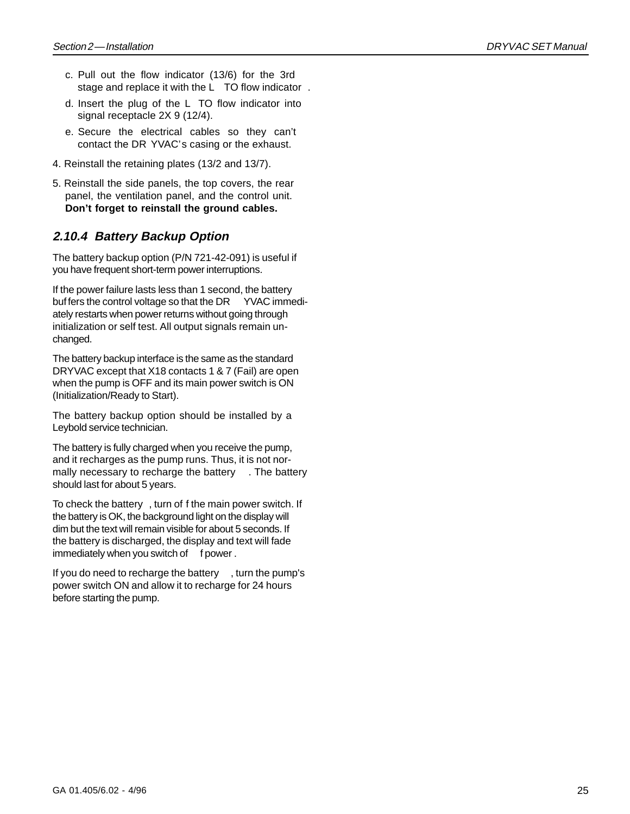- c. Pull out the flow indicator (13/6) for the 3rd stage and replace it with the L TO flow indicator .
- d. Insert the plug of the L TO flow indicator into signal receptacle 2X 9 (12/4).
- e. Secure the electrical cables so they can't contact the DR YVAC's casing or the exhaust.
- 4. Reinstall the retaining plates (13/2 and 13/7).
- 5. Reinstall the side panels, the top covers, the rear panel, the ventilation panel, and the control unit. **Don't forget to reinstall the ground cables.**

#### **2.10.4 Battery Backup Option**

The battery backup option (P/N 721-42-091) is useful if you have frequent short-term power interruptions.

If the power failure lasts less than 1 second, the battery buf fers the control voltage so that the DR YVAC immediately restarts when power returns without going through initialization or self test. All output signals remain unchanged.

The battery backup interface is the same as the standard DRYVAC except that X18 contacts 1 & 7 (Fail) are open when the pump is OFF and its main power switch is ON (Initialization/Ready to Start).

The battery backup option should be installed by a Leybold service technician.

The battery is fully charged when you receive the pump, and it recharges as the pump runs. Thus, it is not normally necessary to recharge the battery . The battery should last for about 5 years.

To check the battery , turn of f the main power switch. If the battery is OK, the background light on the display will dim but the text will remain visible for about 5 seconds. If the battery is discharged, the display and text will fade immediately when you switch of f power.

If you do need to recharge the battery , turn the pump's power switch ON and allow it to recharge for 24 hours before starting the pump.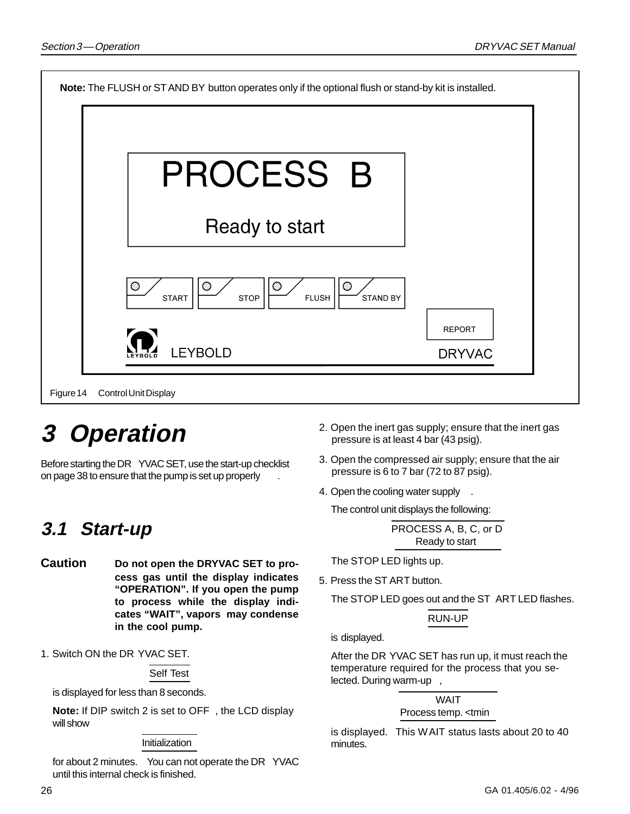| Note: The FLUSH or ST AND BY button operates only if the optional flush or stand-by kit is installed.       |                                |  |
|-------------------------------------------------------------------------------------------------------------|--------------------------------|--|
| <b>PROCESS B</b>                                                                                            |                                |  |
| Ready to start                                                                                              |                                |  |
| $\circledcirc$<br>$\circledcirc$<br>$\circ$<br>O<br><b>FLUSH</b><br>STAND BY<br><b>START</b><br><b>STOP</b> |                                |  |
| LEYBOLD                                                                                                     | <b>REPORT</b><br><b>DRYVAC</b> |  |
| Figure 14<br>Control Unit Display                                                                           |                                |  |

# **3 Operation**

Before starting the DR YVAC SET, use the start-up checklist on page 38 to ensure that the pump is set up properly .

## **3.1 Start-up**

- **Caution Do not open the DRYVAC SET to process gas until the display indicates "OPERATION". If you open the pump to process while the display indicates "WAIT", vapors may condense in the cool pump.**
- 1. Switch ON the DR YVAC SET.

Self Test

is displayed for less than 8 seconds.

**Note:** If DIP switch 2 is set to OFF , the LCD display will show

#### **Initialization**

for about 2 minutes. You can not operate the DR YVAC until this internal check is finished.

- 2. Open the inert gas supply; ensure that the inert gas pressure is at least 4 bar (43 psig).
- 3. Open the compressed air supply; ensure that the air pressure is 6 to 7 bar (72 to 87 psig).
- 4. Open the cooling water supply .

The control unit displays the following:

PROCESS A, B, C, or D Ready to start

The STOP LED lights up.

5. Press the ST ART button.

The STOP LED goes out and the ST ART LED flashes.

#### RUN-UP

is displayed.

After the DR YVAC SET has run up, it must reach the temperature required for the process that you selected. During warm-up ,

> WAIT Process temp. <tmin

is displayed. This WAIT status lasts about 20 to 40 minutes.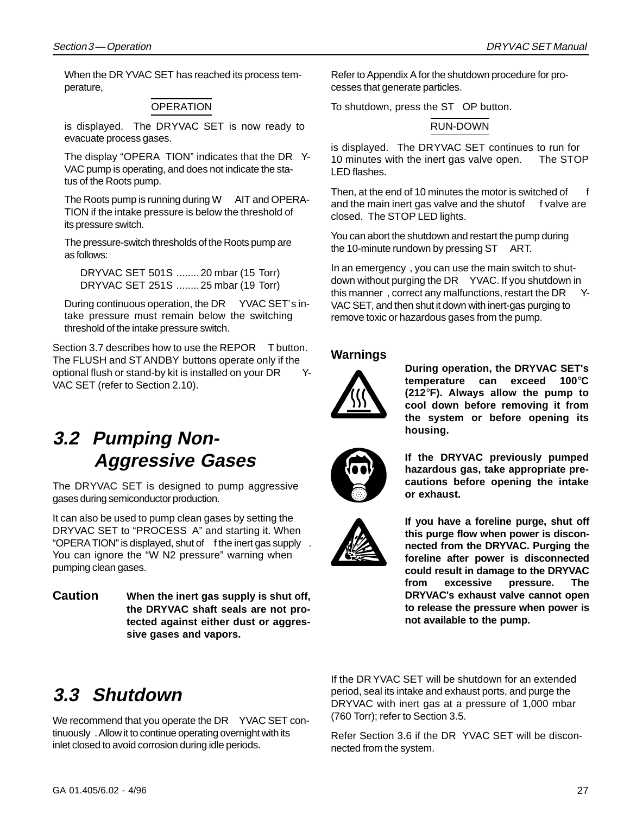When the DR YVAC SET has reached its process temperature,

#### **OPERATION**

is displayed. The DRYVAC SET is now ready to evacuate process gases.

The display "OPERA TION" indicates that the DR Y-VAC pump is operating, and does not indicate the status of the Roots pump.

The Roots pump is running during W AIT and OPERA-TION if the intake pressure is below the threshold of its pressure switch.

The pressure-switch thresholds of the Roots pump are as follows:

DRYVAC SET 501S ........20 mbar (15 Torr) DRYVAC SET 251S ........25 mbar (19 Torr)

During continuous operation, the DR YVAC SET's intake pressure must remain below the switching threshold of the intake pressure switch.

Section 3.7 describes how to use the REPOR T button. The FLUSH and ST ANDBY buttons operate only if the optional flush or stand-by kit is installed on your DR Y-VAC SET (refer to Section 2.10).

### **3.2 Pumping Non-Aggressive Gases**

The DRYVAC SET is designed to pump aggressive gases during semiconductor production.

It can also be used to pump clean gases by setting the DRYVAC SET to "PROCESS A" and starting it. When "OPERATION" is displayed, shut of f the inert gas supply. You can ignore the "W N2 pressure" warning when pumping clean gases.

**Caution When the inert gas supply is shut off, the DRYVAC shaft seals are not protected against either dust or aggressive gases and vapors.**

Refer to Appendix A for the shutdown procedure for processes that generate particles.

To shutdown, press the ST OP button.

#### RUN-DOWN

is displayed. The DRYVAC SET continues to run for 10 minutes with the inert gas valve open. The STOP LED flashes.

Then, at the end of 10 minutes the motor is switched of f and the main inert gas valve and the shutof f valve are closed. The STOP LED lights.

You can abort the shutdown and restart the pump during the 10-minute rundown by pressing ST ART.

In an emergency , you can use the main switch to shutdown without purging the DR YVAC. If you shutdown in this manner, correct any malfunctions, restart the DR Y-VAC SET, and then shut it down with inert-gas purging to remove toxic or hazardous gases from the pump.

#### **Warnings**

![](_page_26_Picture_23.jpeg)

**During operation, the DRYVAC SET's temperature can exceed 100**°**C (212**°**F). Always allow the pump to cool down before removing it from the system or before opening its housing.**

![](_page_26_Picture_25.jpeg)

**If the DRYVAC previously pumped hazardous gas, take appropriate precautions before opening the intake or exhaust.**

![](_page_26_Picture_27.jpeg)

**If you have a foreline purge, shut off this purge flow when power is disconnected from the DRYVAC. Purging the foreline after power is disconnected could result in damage to the DRYVAC from excessive pressure. The DRYVAC's exhaust valve cannot open to release the pressure when power is not available to the pump.**

### **3.3 Shutdown**

We recommend that you operate the DR YVAC SET continuously . Allow it to continue operating overnight with its inlet closed to avoid corrosion during idle periods.

If the DR YVAC SET will be shutdown for an extended period, seal its intake and exhaust ports, and purge the DRYVAC with inert gas at a pressure of 1,000 mbar (760 Torr); refer to Section 3.5.

Refer Section 3.6 if the DR YVAC SET will be disconnected from the system.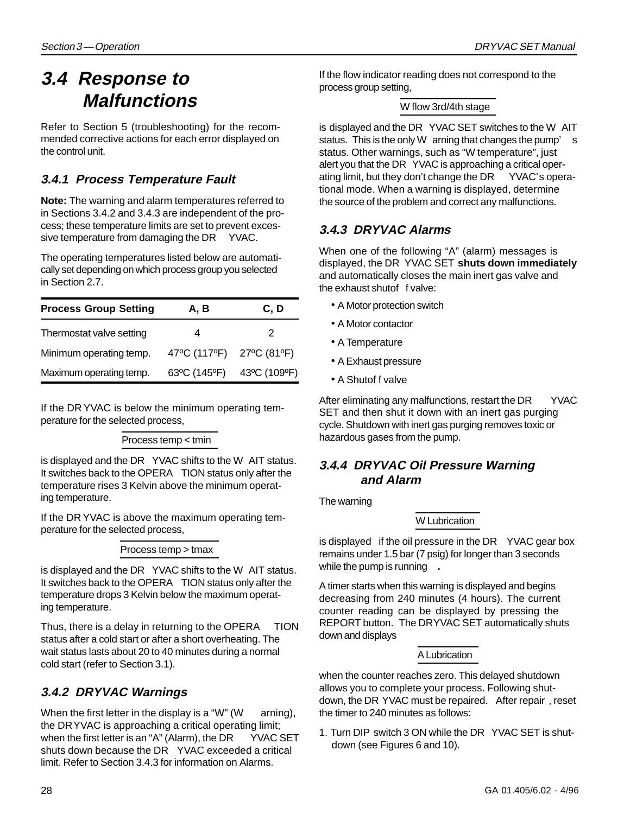### **3.4 Response to Malfunctions**

Refer to Section 5 (troubleshooting) for the recommended corrective actions for each error displayed on the control unit.

### **3.4.1 Process Temperature Fault**

**Note:** The warning and alarm temperatures referred to in Sections 3.4.2 and 3.4.3 are independent of the process; these temperature limits are set to prevent excessive temperature from damaging the DR YVAC.

The operating temperatures listed below are automatically set depending on which process group you selected in Section 2.7.

| <b>Process Group Setting</b> | A, B                      | C, D |  |  |
|------------------------------|---------------------------|------|--|--|
| Thermostat valve setting     | 4                         | 2    |  |  |
| Minimum operating temp.      | 47°C (117°F) 27°C (81°F)  |      |  |  |
| Maximum operating temp.      | 63°C (145°F) 43°C (109°F) |      |  |  |

If the DR YVAC is below the minimum operating temperature for the selected process,

Process temp < tmin

is displayed and the DR YVAC shifts to the W AIT status. It switches back to the OPERA TION status only after the temperature rises 3 Kelvin above the minimum operating temperature.

If the DR YVAC is above the maximum operating temperature for the selected process,

Process temp > tmax

is displayed and the DR YVAC shifts to the W AIT status. It switches back to the OPERA TION status only after the temperature drops 3 Kelvin below the maximum operating temperature.

Thus, there is a delay in returning to the OPERA TION status after a cold start or after a short overheating. The wait status lasts about 20 to 40 minutes during a normal cold start (refer to Section 3.1).

### **3.4.2 DRYVAC Warnings**

When the first letter in the display is a "W" (W arning), the DRYVAC is approaching a critical operating limit; when the first letter is an "A" (Alarm), the DR YVAC SET shuts down because the DR YVAC exceeded a critical limit. Refer to Section 3.4.3 for information on Alarms.

If the flow indicator reading does not correspond to the process group setting,

#### W flow 3rd/4th stage

is displayed and the DR YVAC SET switches to the W AIT status. This is the only W arning that changes the pump' s status. Other warnings, such as "W temperature", just alert you that the DR YVAC is approaching a critical operating limit, but they don't change the DR YVAC's operational mode. When a warning is displayed, determine the source of the problem and correct any malfunctions.

#### **3.4.3 DRYVAC Alarms**

When one of the following "A" (alarm) messages is displayed, the DR YVAC SET **shuts down immediately** and automatically closes the main inert gas valve and the exhaust shutof f valve:

- A Motor protection switch
- A Motor contactor
- A Temperature
- A Exhaust pressure
- A Shutof f valve

After eliminating any malfunctions, restart the DR YVAC SET and then shut it down with an inert gas purging cycle. Shutdown with inert gas purging removes toxic or hazardous gases from the pump.

#### **3.4.4 DRYVAC Oil Pressure Warning and Alarm**

The warning

#### W Lubrication

is displayed if the oil pressure in the DR YVAC gear box remains under 1.5 bar (7 psig) for longer than 3 seconds while the pump is running **.**

A timer starts when this warning is displayed and begins decreasing from 240 minutes (4 hours). The current counter reading can be displayed by pressing the REPORT button. The DRYVAC SET automatically shuts down and displays

#### A Lubrication

when the counter reaches zero. This delayed shutdown allows you to complete your process. Following shutdown, the DR YVAC must be repaired. After repair , reset the timer to 240 minutes as follows:

1. Turn DIP switch 3 ON while the DR YVAC SET is shutdown (see Figures 6 and 10).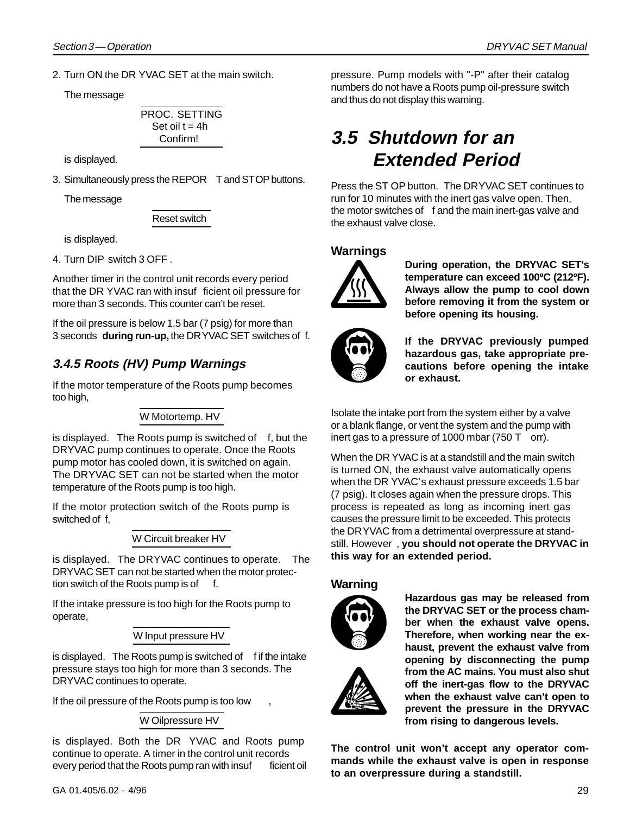2. Turn ON the DR YVAC SET at the main switch.

The message

PROC. SETTING Set oil  $t = 4h$ Confirm!

is displayed.

3. Simultaneously press the REPOR T and STOP buttons.

The message

Reset switch

is displayed.

4. Turn DIP switch 3 OFF .

Another timer in the control unit records every period that the DR YVAC ran with insuf ficient oil pressure for more than 3 seconds. This counter can't be reset.

If the oil pressure is below 1.5 bar (7 psig) for more than 3 seconds **during run-up,** the DRYVAC SET switches of f.

### **3.4.5 Roots (HV) Pump Warnings**

If the motor temperature of the Roots pump becomes too high,

#### W Motortemp. HV

is displayed. The Roots pump is switched of  $f$ , but the DRYVAC pump continues to operate. Once the Roots pump motor has cooled down, it is switched on again. The DRYVAC SET can not be started when the motor temperature of the Roots pump is too high.

If the motor protection switch of the Roots pump is switched of f,

#### W Circuit breaker HV

is displayed. The DRYVAC continues to operate. The DRYVAC SET can not be started when the motor protection switch of the Roots pump is of

If the intake pressure is too high for the Roots pump to operate,

#### W Input pressure HV

is displayed. The Roots pump is switched of f if the intake pressure stays too high for more than 3 seconds. The DRYVAC continues to operate.

If the oil pressure of the Roots pump is too low

W Oilpressure HV

is displayed. Both the DR YVAC and Roots pump continue to operate. A timer in the control unit records every period that the Roots pump ran with insuf ficient oil pressure. Pump models with "-P" after their catalog numbers do not have a Roots pump oil-pressure switch and thus do not display this warning.

### **3.5 Shutdown for an Extended Period**

Press the ST OP button. The DRYVAC SET continues to run for 10 minutes with the inert gas valve open. Then, the motor switches of f and the main inert-gas valve and the exhaust valve close.

#### **Warnings**

![](_page_28_Picture_30.jpeg)

**During operation, the DRYVAC SET's temperature can exceed 100ºC (212ºF). Always allow the pump to cool down before removing it from the system or before opening its housing.**

![](_page_28_Picture_32.jpeg)

**If the DRYVAC previously pumped hazardous gas, take appropriate precautions before opening the intake or exhaust.**

Isolate the intake port from the system either by a valve or a blank flange, or vent the system and the pump with inert gas to a pressure of 1000 mbar (750 T orr).

When the DR YVAC is at a standstill and the main switch is turned ON, the exhaust valve automatically opens when the DR YVAC's exhaust pressure exceeds 1.5 bar (7 psig). It closes again when the pressure drops. This process is repeated as long as incoming inert gas causes the pressure limit to be exceeded. This protects the DRYVAC from a detrimental overpressure at standstill. However , **you should not operate the DRYVAC in this way for an extended period.**

#### **Warning**

![](_page_28_Picture_37.jpeg)

**Hazardous gas may be released from the DRYVAC SET or the process chamber when the exhaust valve opens. Therefore, when working near the exhaust, prevent the exhaust valve from opening by disconnecting the pump from the AC mains. You must also shut off the inert-gas flow to the DRYVAC when the exhaust valve can't open to prevent the pressure in the DRYVAC from rising to dangerous levels.**

**The control unit won't accept any operator commands while the exhaust valve is open in response to an overpressure during a standstill.**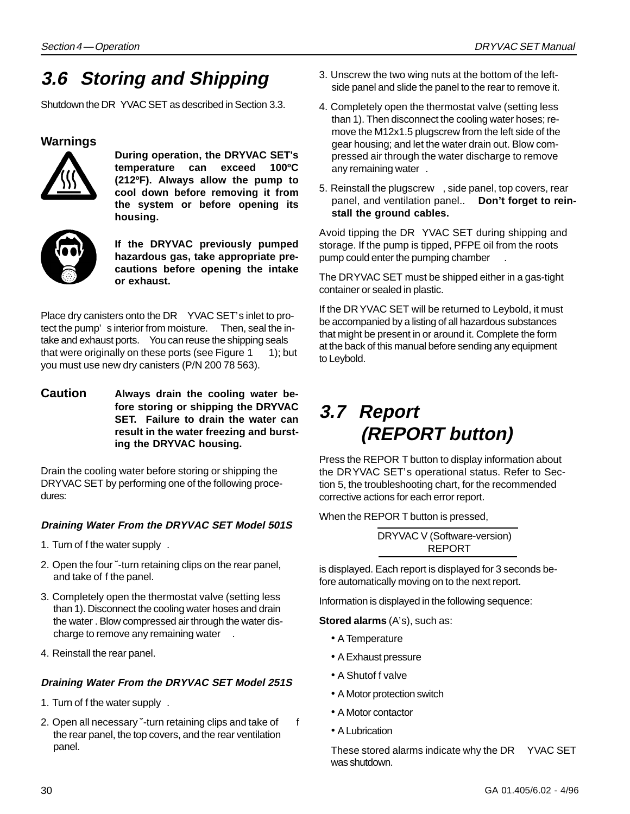### **3.6 Storing and Shipping**

Shutdown the DR YVAC SET as described in Section 3.3.

#### **Warnings**

![](_page_29_Picture_5.jpeg)

**During operation, the DRYVAC SET's temperature can exceed 100ºC (212ºF). Always allow the pump to cool down before removing it from the system or before opening its housing.**

![](_page_29_Picture_7.jpeg)

**If the DRYVAC previously pumped hazardous gas, take appropriate precautions before opening the intake or exhaust.**

Place dry canisters onto the DR YVAC SET's inlet to protect the pump' s interior from moisture. Then, seal the intake and exhaust ports. You can reuse the shipping seals that were originally on these ports (see Figure  $1 \quad 1$ ); but you must use new dry canisters (P/N 200 78 563).

**Caution Always drain the cooling water before storing or shipping the DRYVAC SET. Failure to drain the water can result in the water freezing and bursting the DRYVAC housing.**

Drain the cooling water before storing or shipping the DRYVAC SET by performing one of the following procedures:

#### **Draining Water From the DRYVAC SET Model 501S**

- 1. Turn of f the water supply .
- 2. Open the four ˘-turn retaining clips on the rear panel, and take of f the panel.
- 3. Completely open the thermostat valve (setting less than 1). Disconnect the cooling water hoses and drain the water . Blow compressed air through the water discharge to remove any remaining water.
- 4. Reinstall the rear panel.

#### **Draining Water From the DRYVAC SET Model 251S**

- 1. Turn of f the water supply .
- 2. Open all necessary ~turn retaining clips and take of f the rear panel, the top covers, and the rear ventilation panel.
- 3. Unscrew the two wing nuts at the bottom of the leftside panel and slide the panel to the rear to remove it.
- 4. Completely open the thermostat valve (setting less than 1). Then disconnect the cooling water hoses; remove the M12x1.5 plugscrew from the left side of the gear housing; and let the water drain out. Blow compressed air through the water discharge to remove any remaining water .
- 5. Reinstall the plugscrew , side panel, top covers, rear panel, and ventilation panel.. **Don't forget to reinstall the ground cables.**

Avoid tipping the DR YVAC SET during shipping and storage. If the pump is tipped, PFPE oil from the roots pump could enter the pumping chamber .

The DRYVAC SET must be shipped either in a gas-tight container or sealed in plastic.

If the DR YVAC SET will be returned to Leybold, it must be accompanied by a listing of all hazardous substances that might be present in or around it. Complete the form at the back of this manual before sending any equipment to Leybold.

### **3.7 Report (REPORT button)**

Press the REPOR T button to display information about the DRYVAC SET's operational status. Refer to Section 5, the troubleshooting chart, for the recommended corrective actions for each error report.

When the REPOR T button is pressed,

DRYVAC V (Software-version) REPORT

is displayed. Each report is displayed for 3 seconds before automatically moving on to the next report.

Information is displayed in the following sequence:

**Stored alarms** (A's), such as:

- A Temperature
- A Exhaust pressure
- A Shutof f valve
- A Motor protection switch
- A Motor contactor
- A Lubrication

These stored alarms indicate why the DR YVAC SET was shutdown.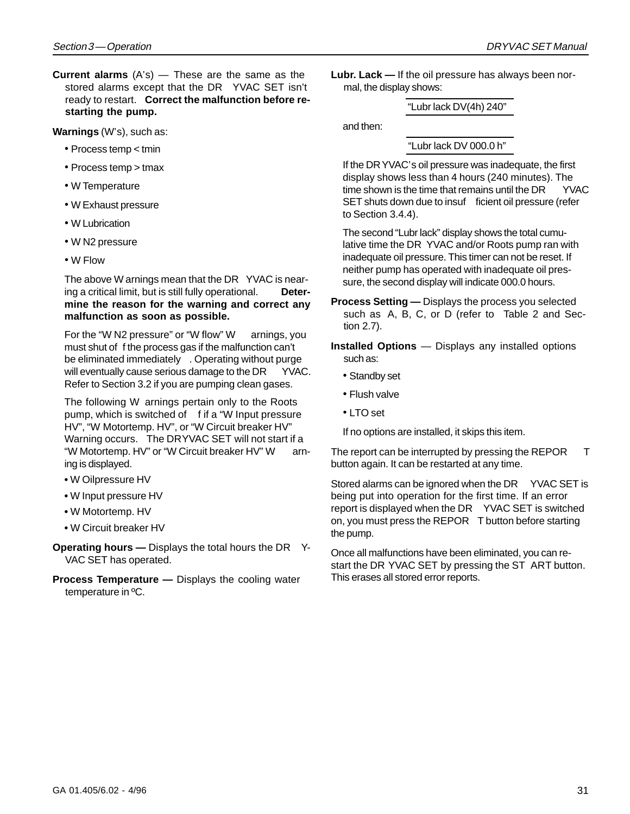**Current alarms** (A's) — These are the same as the stored alarms except that the DR YVAC SET isn't ready to restart. **Correct the malfunction before restarting the pump.**

**Warnings** (W's), such as:

- Process temp < tmin
- Process temp > tmax
- W Temperature
- W Exhaust pressure
- W Lubrication
- W N2 pressure
- W Flow

The above W arnings mean that the DR YVAC is nearing a critical limit, but is still fully operational. **Determine the reason for the warning and correct any malfunction as soon as possible.**

For the "W N2 pressure" or "W flow" W arnings, you must shut of f the process gas if the malfunction can't be eliminated immediately . Operating without purge will eventually cause serious damage to the DR YVAC. Refer to Section 3.2 if you are pumping clean gases.

The following W arnings pertain only to the Roots pump, which is switched of f if a "W Input pressure HV", "W Motortemp. HV", or "W Circuit breaker HV" Warning occurs. The DRYVAC SET will not start if a "W Motortemp. HV" or "W Circuit breaker HV" W arning is displayed.

- W Oilpressure HV
- W Input pressure HV
- W Motortemp. HV
- W Circuit breaker HV
- **Operating hours —** Displays the total hours the DR Y-VAC SET has operated.
- **Process Temperature** Displays the cooling water temperature in ºC.

**Lubr. Lack —** If the oil pressure has always been normal, the display shows:

"Lubr lack DV(4h) 240"

and then:

"Lubr lack DV 000.0 h"

If the DRYVAC's oil pressure was inadequate, the first display shows less than 4 hours (240 minutes). The time shown is the time that remains until the  $DR$  YVAC SET shuts down due to insuf ficient oil pressure (refer to Section 3.4.4).

The second "Lubr lack" display shows the total cumulative time the DR YVAC and/or Roots pump ran with inadequate oil pressure. This timer can not be reset. If neither pump has operated with inadequate oil pressure, the second display will indicate 000.0 hours.

**Process Setting —** Displays the process you selected such as A, B, C, or D (refer to Table 2 and Section 2.7).

**Installed Options** — Displays any installed options such as:

- Standby set
- Flush valve
- LTO set

If no options are installed, it skips this item.

The report can be interrupted by pressing the REPOR T button again. It can be restarted at any time.

Stored alarms can be ignored when the DR YVAC SET is being put into operation for the first time. If an error report is displayed when the DR YVAC SET is switched on, you must press the REPOR T button before starting the pump.

Once all malfunctions have been eliminated, you can restart the DR YVAC SET by pressing the ST ART button. This erases all stored error reports.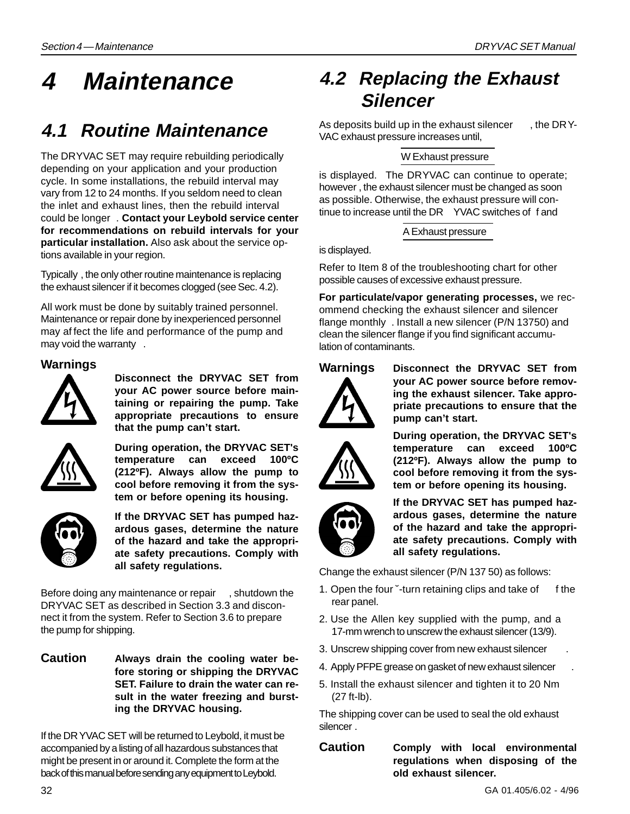# **4 Maintenance**

## **4.1 Routine Maintenance**

The DRYVAC SET may require rebuilding periodically depending on your application and your production cycle. In some installations, the rebuild interval may vary from 12 to 24 months. If you seldom need to clean the inlet and exhaust lines, then the rebuild interval could be longer . **Contact your Leybold service center for recommendations on rebuild intervals for your particular installation.** Also ask about the service options available in your region.

Typically , the only other routine maintenance is replacing the exhaust silencer if it becomes clogged (see Sec. 4.2).

All work must be done by suitably trained personnel. Maintenance or repair done by inexperienced personnel may af fect the life and performance of the pump and may void the warranty .

#### **Warnings**

![](_page_31_Picture_8.jpeg)

**Disconnect the DRYVAC SET from your AC power source before maintaining or repairing the pump. Take appropriate precautions to ensure that the pump can't start.**

![](_page_31_Picture_10.jpeg)

**During operation, the DRYVAC SET's temperature can exceed 100ºC (212ºF). Always allow the pump to cool before removing it from the system or before opening its housing.**

![](_page_31_Picture_12.jpeg)

**If the DRYVAC SET has pumped hazardous gases, determine the nature of the hazard and take the appropriate safety precautions. Comply with all safety regulations.**

Before doing any maintenance or repair , shutdown the DRYVAC SET as described in Section 3.3 and disconnect it from the system. Refer to Section 3.6 to prepare the pump for shipping.

**Caution Always drain the cooling water before storing or shipping the DRYVAC SET. Failure to drain the water can result in the water freezing and bursting the DRYVAC housing.**

If the DRYVAC SET will be returned to Leybold, it must be accompanied by a listing of all hazardous substances that might be present in or around it. Complete the form at the back of this manual before sending any equipment to Leybold.

### **4.2 Replacing the Exhaust Silencer**

As deposits build up in the exhaust silencer , the DRY-VAC exhaust pressure increases until,

#### W Exhaust pressure

is displayed. The DRYVAC can continue to operate; however , the exhaust silencer must be changed as soon as possible. Otherwise, the exhaust pressure will continue to increase until the DR YVAC switches of f and

A Exhaust pressure

is displayed.

Refer to Item 8 of the troubleshooting chart for other possible causes of excessive exhaust pressure.

**For particulate/vapor generating processes,** we recommend checking the exhaust silencer and silencer flange monthly . Install a new silencer (P/N 13750) and clean the silencer flange if you find significant accumulation of contaminants.

![](_page_31_Picture_26.jpeg)

**Warnings Disconnect the DRYVAC SET from your AC power source before removing the exhaust silencer. Take appropriate precautions to ensure that the pump can't start.**

![](_page_31_Picture_28.jpeg)

**During operation, the DRYVAC SET's temperature can exceed 100ºC (212ºF). Always allow the pump to cool before removing it from the system or before opening its housing.**

![](_page_31_Picture_30.jpeg)

**If the DRYVAC SET has pumped hazardous gases, determine the nature of the hazard and take the appropriate safety precautions. Comply with all safety regulations.**

Change the exhaust silencer (P/N 137 50) as follows:

- 1. Open the four "-turn retaining clips and take of f the rear panel.
- 2. Use the Allen key supplied with the pump, and a 17-mm wrench to unscrew the exhaust silencer (13/9).
- 3. Unscrew shipping cover from new exhaust silencer .
- 4. Apply PFPE grease on gasket of new exhaust silencer .
- 5. Install the exhaust silencer and tighten it to 20 Nm (27 ft-lb).

The shipping cover can be used to seal the old exhaust silencer .

**Caution Comply with local environmental regulations when disposing of the old exhaust silencer.**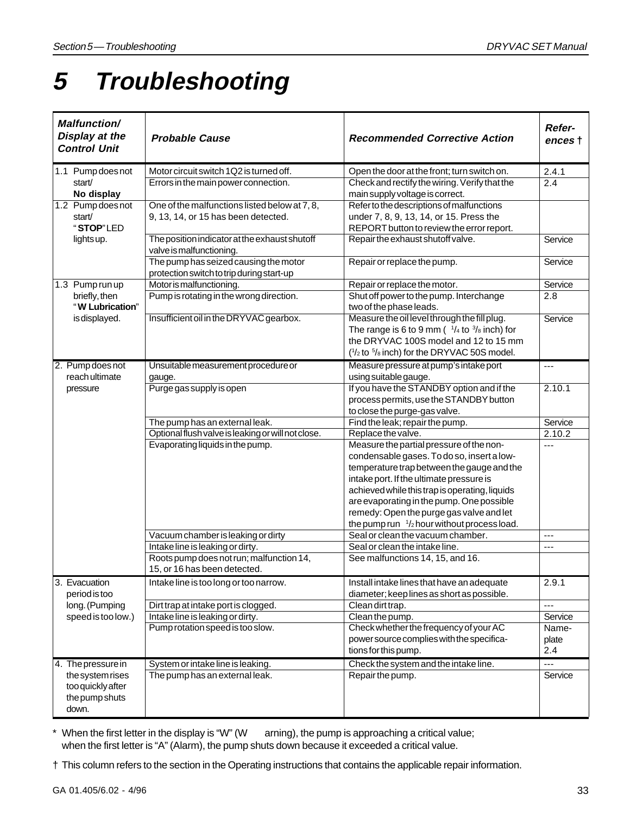# **5 Troubleshooting**

| <b>Malfunction/</b><br>Display at the<br><b>Control Unit</b>     | <b>Probable Cause</b>                                                              | <b>Recommended Corrective Action</b>              | Refer-<br>ences † |
|------------------------------------------------------------------|------------------------------------------------------------------------------------|---------------------------------------------------|-------------------|
| 1.1 Pump does not                                                | Motor circuit switch 1Q2 is turned off.                                            | Open the door at the front; turn switch on.       | 2.4.1             |
| start/                                                           | Errors in the main power connection.                                               | Check and rectify the wiring. Verify that the     | 2.4               |
| No display                                                       |                                                                                    | main supply voltage is correct.                   |                   |
| 1.2 Pump does not                                                | One of the malfunctions listed below at 7, 8,                                      | Refer to the descriptions of malfunctions         |                   |
| start/                                                           | 9, 13, 14, or 15 has been detected.                                                | under 7, 8, 9, 13, 14, or 15. Press the           |                   |
| "STOP"LED                                                        |                                                                                    | REPORT button to review the error report.         |                   |
| lights up.                                                       | The position indicator at the exhaust shutoff<br>valve is malfunctioning.          | Repair the exhaust shutoff valve.                 | Service           |
|                                                                  | The pump has seized causing the motor<br>protection switch to trip during start-up | Repair or replace the pump.                       | Service           |
| 1.3 Pump run up                                                  | Motor is malfunctioning.                                                           | Repair or replace the motor.                      | Service           |
| briefly, then                                                    | Pump is rotating in the wrong direction.                                           | Shut off power to the pump. Interchange           | 2.8               |
| "W Lubrication"                                                  |                                                                                    | two of the phase leads.                           |                   |
| is displayed.                                                    | Insufficient oil in the DRYVAC gearbox.                                            | Measure the oil level through the fill plug.      | Service           |
|                                                                  |                                                                                    | The range is 6 to 9 mm ( $1/4$ to $3/8$ inch) for |                   |
|                                                                  |                                                                                    | the DRYVAC 100S model and 12 to 15 mm             |                   |
|                                                                  |                                                                                    | $(1/2$ to $5/8$ inch) for the DRYVAC 50S model.   |                   |
| 2. Pump does not                                                 | Unsuitable measurement procedure or                                                | Measure pressure at pump's intake port            | ---               |
| reach ultimate                                                   | gauge.                                                                             | using suitable gauge.                             |                   |
| pressure                                                         | Purge gas supply is open                                                           | If you have the STANDBY option and if the         | 2.10.1            |
|                                                                  |                                                                                    | process permits, use the STANDBY button           |                   |
|                                                                  |                                                                                    | to close the purge-gas valve.                     |                   |
|                                                                  | The pump has an external leak.                                                     | Find the leak; repair the pump.                   | Service           |
|                                                                  | Optional flush valve is leaking or will not close.                                 | Replace the valve.                                | 2.10.2            |
|                                                                  | Evaporating liquids in the pump.                                                   | Measure the partial pressure of the non-          | $\overline{a}$    |
|                                                                  |                                                                                    | condensable gases. To do so, insert a low-        |                   |
|                                                                  |                                                                                    | temperature trap between the gauge and the        |                   |
|                                                                  |                                                                                    | intake port. If the ultimate pressure is          |                   |
|                                                                  |                                                                                    | achieved while this trap is operating, liquids    |                   |
|                                                                  |                                                                                    | are evaporating in the pump. One possible         |                   |
|                                                                  |                                                                                    | remedy: Open the purge gas valve and let          |                   |
|                                                                  |                                                                                    | the pump run $1/2$ hour without process load.     |                   |
|                                                                  | Vacuum chamber is leaking or dirty                                                 | Seal or clean the vacuum chamber.                 | ---               |
|                                                                  | Intake line is leaking or dirty.                                                   | Seal or clean the intake line.                    | $\overline{a}$    |
|                                                                  | Roots pump does not run; malfunction 14,<br>15, or 16 has been detected.           | See malfunctions 14, 15, and 16.                  |                   |
| 3. Evacuation                                                    | Intake line is too long or too narrow.                                             | Install intake lines that have an adequate        | 2.9.1             |
| period is too                                                    |                                                                                    | diameter; keep lines as short as possible.        |                   |
| long. (Pumping                                                   | Dirt trap at intake port is clogged.                                               | Clean dirt trap.                                  | ---               |
| speed is too low.)                                               | Intake line is leaking or dirty.                                                   | Clean the pump.                                   | Service           |
|                                                                  | Pump rotation speed is too slow.                                                   | Check whether the frequency of your AC            | Name-             |
|                                                                  |                                                                                    | power source complies with the specifica-         | plate             |
|                                                                  |                                                                                    | tions for this pump.                              | 2.4               |
| 4. The pressure in                                               | System or intake line is leaking.                                                  | Check the system and the intake line.             | ---               |
| the system rises<br>too quickly after<br>the pump shuts<br>down. | The pump has an external leak.                                                     | Repair the pump.                                  | Service           |

\* When the first letter in the display is "W" (W arning), the pump is approaching a critical value; when the first letter is "A" (Alarm), the pump shuts down because it exceeded a critical value.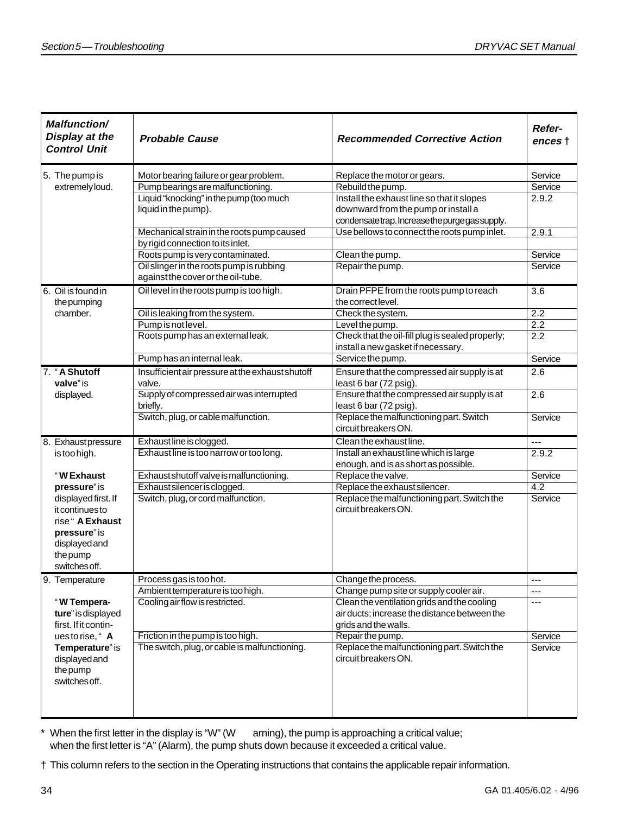| <b>Malfunction/</b><br>Display at the<br><b>Control Unit</b> | <b>Probable Cause</b>                            | <b>Recommended Corrective Action</b>             | Refer-<br>ences † |
|--------------------------------------------------------------|--------------------------------------------------|--------------------------------------------------|-------------------|
| 5. The pump is                                               | Motor bearing failure or gear problem.           | Replace the motor or gears.                      | Service           |
| extremely loud.                                              | Pump bearings are malfunctioning.                | Rebuild the pump.                                | Service           |
|                                                              | Liquid "knocking" in the pump (too much          | Install the exhaust line so that it slopes       | 2.9.2             |
|                                                              | liquid in the pump).                             | downward from the pump or install a              |                   |
|                                                              |                                                  | condensatetrap. Increase the purge gas supply.   |                   |
|                                                              | Mechanical strain in the roots pump caused       | Use bellows to connect the roots pump inlet.     | 2.9.1             |
|                                                              | by rigid connection to its inlet.                |                                                  |                   |
|                                                              | Roots pump is very contaminated.                 | Clean the pump.                                  | Service           |
|                                                              | Oil slinger in the roots pump is rubbing         | Repair the pump.                                 | Service           |
|                                                              | against the cover or the oil-tube.               |                                                  |                   |
| 6. Oil is found in                                           | Oil level in the roots pump is too high.         | Drain PFPE from the roots pump to reach          | $\overline{3.6}$  |
| the pumping                                                  |                                                  | the correct level.                               |                   |
| chamber.                                                     | Oil is leaking from the system.                  | Check the system.                                | 2.2               |
|                                                              | Pump is not level.                               | Level the pump.                                  | $\overline{2.2}$  |
|                                                              | Roots pump has an external leak.                 | Check that the oil-fill plug is sealed properly; | $\overline{2.2}$  |
|                                                              |                                                  | install a new gasket if necessary.               |                   |
|                                                              | Pump has an internal leak.                       | Service the pump.                                | Service           |
| 7. "A Shutoff                                                | Insufficient air pressure at the exhaust shutoff | Ensure that the compressed air supply is at      | 2.6               |
| valve" is                                                    | valve.                                           | least 6 bar (72 psig).                           |                   |
| displayed.                                                   | Supply of compressed air was interrupted         | Ensure that the compressed air supply is at      | 2.6               |
|                                                              | briefly.                                         | least 6 bar (72 psig).                           |                   |
|                                                              | Switch, plug, or cable malfunction.              | Replace the malfunctioning part. Switch          | Service           |
|                                                              |                                                  | circuit breakers ON.                             |                   |
| 8. Exhaustpressure                                           | Exhaust line is clogged.                         | Clean the exhaust line.                          | $- - -$           |
| is too high.                                                 | Exhaust line is too narrow or too long.          | Install an exhaust line which is large           | 2.9.2             |
|                                                              |                                                  | enough, and is as short as possible.             |                   |
| "W Exhaust                                                   | Exhaust shutoff valve is malfunctioning.         | Replace the valve.                               | Service           |
| pressure" is                                                 | Exhaust silencer is clogged.                     | Replace the exhaust silencer.                    | 4.2               |
| displayed first. If                                          | Switch, plug, or cord malfunction.               | Replace the malfunctioning part. Switch the      | Service           |
| it continues to                                              |                                                  | circuit breakers ON.                             |                   |
| rise " A Exhaust                                             |                                                  |                                                  |                   |
| pressure" is                                                 |                                                  |                                                  |                   |
| displayed and                                                |                                                  |                                                  |                   |
| the pump                                                     |                                                  |                                                  |                   |
| switches off.                                                |                                                  |                                                  |                   |
| 9. Temperature                                               | Process gas is too hot.                          | Change the process.                              | ---               |
|                                                              | Ambient temperature is too high.                 | Change pump site or supply cooler air.           | ---               |
| "W Tempera-                                                  | Cooling air flow is restricted.                  | Clean the ventilation grids and the cooling      | $---$             |
| ture" is displayed                                           |                                                  | air ducts; increase the distance between the     |                   |
| first. If it contin-                                         |                                                  | grids and the walls.                             |                   |
| uestorise, "A                                                | Friction in the pump is too high.                | Repair the pump.                                 | Service           |
| Temperature" is                                              | The switch, plug, or cable is malfunctioning.    | Replace the malfunctioning part. Switch the      | Service           |
| displayed and                                                |                                                  | circuit breakers ON.                             |                   |
| the pump                                                     |                                                  |                                                  |                   |
| switches off.                                                |                                                  |                                                  |                   |
|                                                              |                                                  |                                                  |                   |
|                                                              |                                                  |                                                  |                   |

\* When the first letter in the display is "W" (W arning), the pump is approaching a critical value; when the first letter is "A" (Alarm), the pump shuts down because it exceeded a critical value.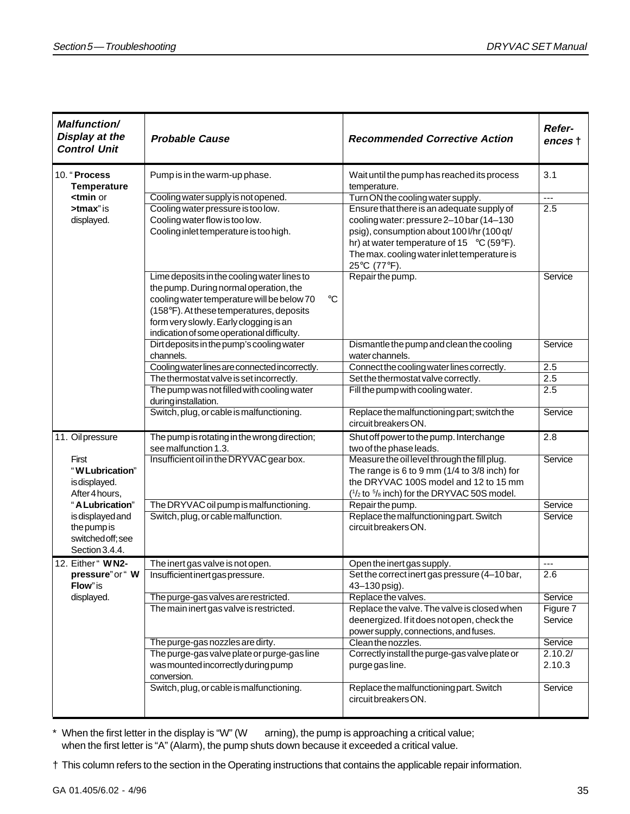| <b>Malfunction/</b><br>Display at the<br><b>Control Unit</b>                                                                                       | <b>Probable Cause</b>                                     | <b>Recommended Corrective Action</b>                                                 | Refer-<br>ences † |
|----------------------------------------------------------------------------------------------------------------------------------------------------|-----------------------------------------------------------|--------------------------------------------------------------------------------------|-------------------|
| 10. "Process<br><b>Temperature</b>                                                                                                                 | Pump is in the warm-up phase.                             | Wait until the pump has reached its process<br>temperature.                          | 3.1               |
| <tmin or<="" td=""><td>Cooling water supply is not opened.</td><td>Turn ON the cooling water supply.</td><td><math>\overline{a}</math></td></tmin> | Cooling water supply is not opened.                       | Turn ON the cooling water supply.                                                    | $\overline{a}$    |
| $>$ tmax" is                                                                                                                                       | Cooling water pressure is too low.                        | Ensure that there is an adequate supply of                                           | 2.5               |
| displayed.                                                                                                                                         | Cooling water flow is too low.                            | cooling water: pressure 2-10 bar (14-130                                             |                   |
|                                                                                                                                                    | Cooling inlet temperature is too high.                    | psig), consumption about 100 l/hr (100 qt/                                           |                   |
|                                                                                                                                                    |                                                           | hr) at water temperature of 15 $\degree$ C (59 $\degree$ F).                         |                   |
|                                                                                                                                                    |                                                           | The max. cooling water inlet temperature is<br>25°C (77°F).                          |                   |
|                                                                                                                                                    | Lime deposits in the cooling water lines to               | Repair the pump.                                                                     | Service           |
|                                                                                                                                                    | the pump. During normal operation, the                    |                                                                                      |                   |
|                                                                                                                                                    | cooling water temperature will be below 70<br>$^{\circ}C$ |                                                                                      |                   |
|                                                                                                                                                    | (158°F). At these temperatures, deposits                  |                                                                                      |                   |
|                                                                                                                                                    | form very slowly. Early clogging is an                    |                                                                                      |                   |
|                                                                                                                                                    | indication of some operational difficulty.                |                                                                                      | Service           |
|                                                                                                                                                    | Dirt deposits in the pump's cooling water<br>channels.    | Dismantle the pump and clean the cooling<br>water channels.                          |                   |
|                                                                                                                                                    | Cooling water lines are connected incorrectly.            | Connect the cooling water lines correctly.                                           | 2.5               |
|                                                                                                                                                    | The thermostat valve is set incorrectly.                  | Set the thermostat valve correctly.                                                  | 2.5               |
|                                                                                                                                                    | The pump was not filled with cooling water                | Fill the pump with cooling water.                                                    | 2.5               |
|                                                                                                                                                    | during installation.                                      |                                                                                      |                   |
|                                                                                                                                                    | Switch, plug, or cable is malfunctioning.                 | Replace the malfunctioning part; switch the<br>circuit breakers ON.                  | Service           |
| 11. Oilpressure                                                                                                                                    | The pump is rotating in the wrong direction;              | Shut off power to the pump. Interchange                                              | 2.8               |
|                                                                                                                                                    | see malfunction 1.3.                                      | two of the phase leads.                                                              |                   |
| First                                                                                                                                              | Insufficient oil in the DRYVAC gear box.                  | Measure the oil level through the fill plug.                                         | Service           |
| "W Lubrication"                                                                                                                                    |                                                           | The range is 6 to 9 mm ( $1/4$ to $3/8$ inch) for                                    |                   |
| is displayed.                                                                                                                                      |                                                           | the DRYVAC 100S model and 12 to 15 mm                                                |                   |
| After 4 hours,                                                                                                                                     |                                                           | $(1/2$ to $5/8$ inch) for the DRYVAC 50S model.                                      |                   |
| "A Lubrication"                                                                                                                                    | The DRYVAC oil pump is malfunctioning.                    | Repair the pump.                                                                     | Service           |
| is displayed and<br>the pump is                                                                                                                    | Switch, plug, or cable malfunction.                       | Replace the malfunctioning part. Switch<br>circuit breakers ON.                      | Service           |
| switched off; see                                                                                                                                  |                                                           |                                                                                      |                   |
| Section 3.4.4.                                                                                                                                     |                                                           |                                                                                      |                   |
| 12. Either" WN2-                                                                                                                                   | The inert gas valve is not open.                          | Open the inert gas supply.                                                           |                   |
| pressure" or " W                                                                                                                                   | Insufficient inert gas pressure.                          | Set the correct inert gas pressure (4-10 bar,                                        | 2.6               |
| Flow" is                                                                                                                                           |                                                           | 43-130 psig).                                                                        |                   |
| displayed.                                                                                                                                         | The purge-gas valves are restricted.                      | Replace the valves.                                                                  | Service           |
|                                                                                                                                                    | The main inert gas valve is restricted.                   | Replace the valve. The valve is closed when                                          | Figure 7          |
|                                                                                                                                                    |                                                           | deenergized. If it does not open, check the<br>power supply, connections, and fuses. | Service           |
|                                                                                                                                                    | The purge-gas nozzles are dirty.                          | Clean the nozzles.                                                                   | Service           |
|                                                                                                                                                    | The purge-gas valve plate or purge-gas line               | Correctly install the purge-gas valve plate or                                       | 2.10.2/           |
|                                                                                                                                                    | was mounted incorrectly during pump<br>conversion.        | purge gas line.                                                                      | 2.10.3            |
|                                                                                                                                                    | Switch, plug, or cable is malfunctioning.                 | Replace the malfunctioning part. Switch<br>circuit breakers ON.                      | Service           |

\* When the first letter in the display is "W" (W arning), the pump is approaching a critical value; when the first letter is "A" (Alarm), the pump shuts down because it exceeded a critical value.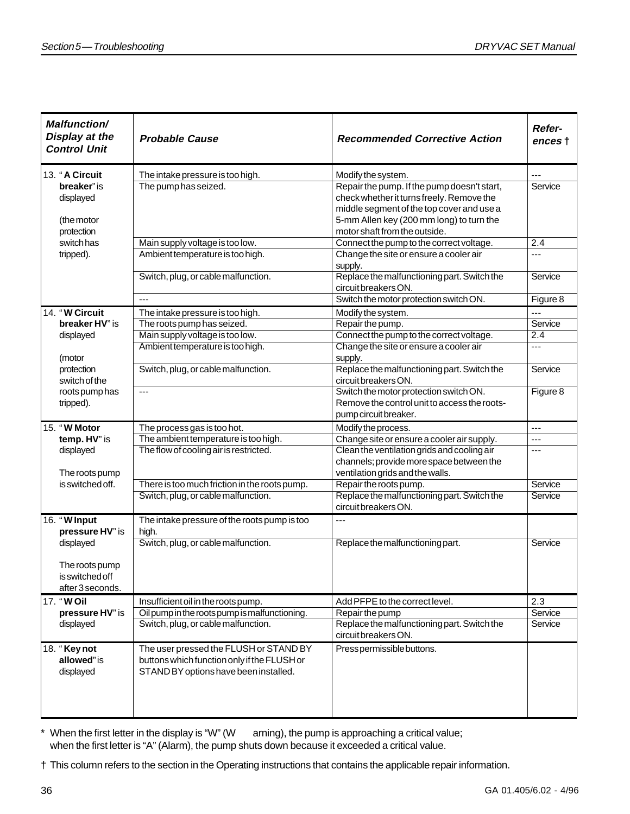| <b>Malfunction/</b><br>Display at the<br><b>Control Unit</b> | <b>Probable Cause</b>                                               | <b>Recommended Corrective Action</b>                                                     | Refer-<br>ences † |
|--------------------------------------------------------------|---------------------------------------------------------------------|------------------------------------------------------------------------------------------|-------------------|
| 13. "A Circuit                                               | The intake pressure is too high.                                    | Modify the system.                                                                       | $---$             |
| breaker" is<br>displayed                                     | The pump has seized.                                                | Repair the pump. If the pump doesn't start,<br>check whether it turns freely. Remove the | Service           |
|                                                              |                                                                     | middle segment of the top cover and use a                                                |                   |
| (the motor                                                   |                                                                     | 5-mm Allen key (200 mm long) to turn the                                                 |                   |
| protection                                                   |                                                                     | motor shaft from the outside.                                                            |                   |
| switch has                                                   | Main supply voltage is too low.                                     | Connect the pump to the correct voltage.                                                 | 2.4               |
| tripped).                                                    | Ambient temperature is too high.                                    | Change the site or ensure a cooler air                                                   | ---               |
|                                                              |                                                                     | supply.<br>Replace the malfunctioning part. Switch the                                   | Service           |
|                                                              | Switch, plug, or cable malfunction.                                 | circuit breakers ON.                                                                     |                   |
|                                                              | $\overline{a}$                                                      | Switch the motor protection switch ON.                                                   | Figure 8          |
| 14. "W Circuit                                               | The intake pressure is too high.                                    | Modify the system.                                                                       | ---               |
| breaker HV" is                                               | The roots pump has seized.                                          | Repair the pump.                                                                         | Service           |
| displayed                                                    | Main supply voltage is too low.                                     | Connect the pump to the correct voltage.                                                 | $\overline{2.4}$  |
|                                                              | Ambient temperature is too high.                                    | Change the site or ensure a cooler air                                                   | $---$             |
| (motor                                                       |                                                                     | supply.                                                                                  |                   |
| protection                                                   | Switch, plug, or cable malfunction.                                 | Replace the malfunctioning part. Switch the                                              | Service           |
| switch of the                                                |                                                                     | circuit breakers ON.                                                                     |                   |
| roots pump has                                               | $\overline{a}$                                                      | Switch the motor protection switch ON.                                                   | Figure 8          |
| tripped).                                                    |                                                                     | Remove the control unit to access the roots-                                             |                   |
|                                                              |                                                                     | pump circuit breaker.                                                                    |                   |
| 15. "W Motor<br>temp. HV" is                                 | The process gas is too hot.<br>The ambient temperature is too high. | Modify the process.<br>Change site or ensure a cooler air supply.                        | ---<br>---        |
| displayed                                                    | The flow of cooling air is restricted.                              | Clean the ventilation grids and cooling air                                              | ---               |
|                                                              |                                                                     | channels; provide more space between the                                                 |                   |
| The roots pump                                               |                                                                     | ventilation grids and the walls.                                                         |                   |
| is switched off.                                             | There is too much friction in the roots pump.                       | Repair the roots pump.                                                                   | Service           |
|                                                              | Switch, plug, or cable malfunction.                                 | Replace the malfunctioning part. Switch the                                              | Service           |
|                                                              |                                                                     | circuit breakers ON.                                                                     |                   |
| 16. "W Input                                                 | The intake pressure of the roots pump is too                        | $\overline{a}$                                                                           |                   |
| pressure HV" is                                              | high.                                                               |                                                                                          |                   |
| displayed                                                    | Switch, plug, or cable malfunction.                                 | Replace the malfunctioning part.                                                         | Service           |
|                                                              |                                                                     |                                                                                          |                   |
| The roots pump<br>is switched off                            |                                                                     |                                                                                          |                   |
| after 3 seconds.                                             |                                                                     |                                                                                          |                   |
| 17. "WOil                                                    | Insufficient oil in the roots pump.                                 | Add PFPE to the correct level.                                                           | 2.3               |
| pressure HV" is                                              | Oil pump in the roots pump is malfunctioning.                       | Repair the pump                                                                          | Service           |
| displayed                                                    | Switch, plug, or cable malfunction.                                 | Replace the malfunctioning part. Switch the                                              | Service           |
|                                                              |                                                                     | circuit breakers ON.                                                                     |                   |
| 18. "Key not                                                 | The user pressed the FLUSH or STAND BY                              | Press permissible buttons.                                                               |                   |
| allowed" is                                                  | buttons which function only if the FLUSH or                         |                                                                                          |                   |
| displayed                                                    | STAND BY options have been installed.                               |                                                                                          |                   |
|                                                              |                                                                     |                                                                                          |                   |
|                                                              |                                                                     |                                                                                          |                   |
|                                                              |                                                                     |                                                                                          |                   |

\* When the first letter in the display is "W" (W arning), the pump is approaching a critical value; when the first letter is "A" (Alarm), the pump shuts down because it exceeded a critical value.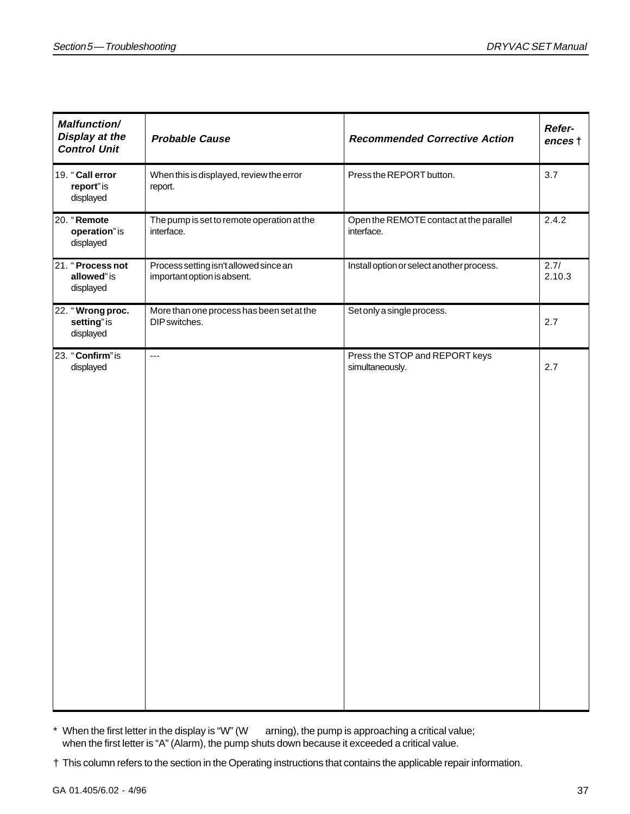| <b>Malfunction/</b><br>Display at the<br><b>Control Unit</b> | <b>Probable Cause</b>                                                 | <b>Recommended Corrective Action</b>                  | Refer-<br>ences t |
|--------------------------------------------------------------|-----------------------------------------------------------------------|-------------------------------------------------------|-------------------|
| 19. "Call error<br>report" is<br>displayed                   | When this is displayed, review the error<br>report.                   | Press the REPORT button.                              | 3.7               |
| 20. "Remote<br>operation" is<br>displayed                    | The pump is set to remote operation at the<br>interface.              | Open the REMOTE contact at the parallel<br>interface. | 2.4.2             |
| 21. "Process not<br>allowed" is<br>displayed                 | Process setting isn't allowed since an<br>important option is absent. | Install option or select another process.             | 2.7/<br>2.10.3    |
| 22. "Wrong proc.<br>setting" is<br>displayed                 | More than one process has been set at the<br>DIP switches.            | Set only a single process.                            | 2.7               |
| 23. "Confirm" is<br>displayed                                | $\overline{a}$                                                        | Press the STOP and REPORT keys<br>simultaneously.     | 2.7               |

- \* When the first letter in the display is "W" (W arning), the pump is approaching a critical value; when the first letter is "A" (Alarm), the pump shuts down because it exceeded a critical value.
- † This column refers to the section in the Operating instructions that contains the applicable repair information.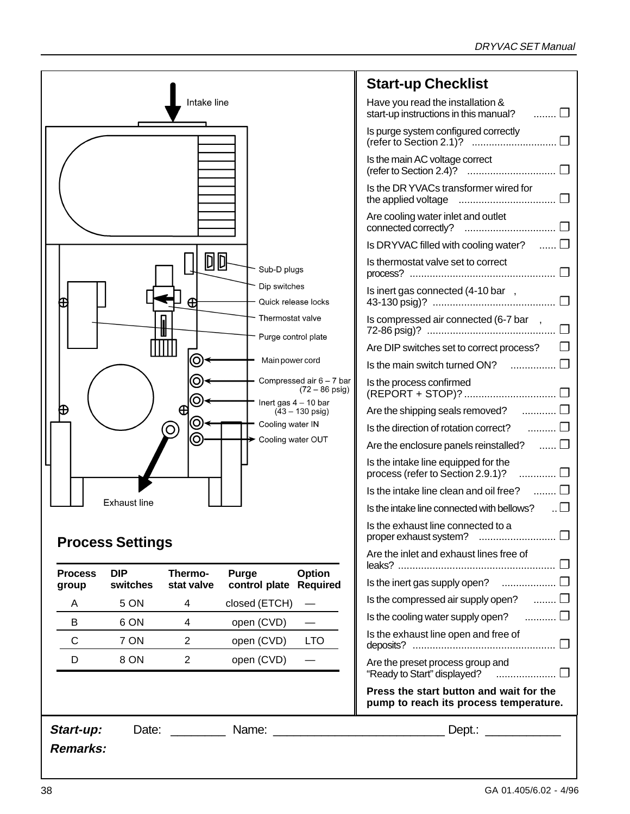#### DRYVAC SET Manual

|                         |                         |                             |                                         |                                                        | <b>Start-up Checklis</b>                                        |
|-------------------------|-------------------------|-----------------------------|-----------------------------------------|--------------------------------------------------------|-----------------------------------------------------------------|
|                         |                         | Intake line                 |                                         |                                                        | Have you read the installat<br>start-up instructions in this n  |
|                         |                         |                             |                                         |                                                        | Is purge system configured<br>(refer to Section 2.1)?<br>$\sim$ |
|                         |                         |                             |                                         |                                                        | Is the main AC voltage corre<br>(refer to Section 2.4)?<br>.    |
|                         |                         |                             |                                         |                                                        | Is the DR YVACs transform<br>the applied voltage<br>.           |
|                         |                         |                             |                                         |                                                        | Are cooling water inlet and<br>connected correctly?<br>.        |
|                         |                         |                             |                                         |                                                        | Is DRYVAC filled with cooli                                     |
|                         |                         | D                           | Sub-D plugs                             |                                                        | Is thermostat valve set to c<br>process?<br>                    |
| ⊕                       |                         | Ð                           | Dip switches<br>Quick release locks     |                                                        | Is inert gas connected (4-1<br>43-130 psig)?                    |
|                         |                         |                             | Thermostat valve<br>Purge control plate |                                                        | Is compressed air connect<br>72-86 psig)?                       |
|                         |                         |                             |                                         |                                                        | Are DIP switches set to corre                                   |
|                         |                         | 0                           | Main power cord                         |                                                        | Is the main switch turned C                                     |
|                         |                         | <u>ල</u>                    |                                         | Compressed air $6 - 7$ bar<br>$(72 - 86 \text{ psig})$ | Is the process confirmed<br>(REPORT + STOP)?                    |
| ⊕                       |                         | $\oplus$                    | Inert gas $4 - 10$ bar                  | $(43 - 130 \text{ psig})$                              | Are the shipping seals remo                                     |
|                         |                         | Q<br>$\left( \circ \right)$ | Cooling water IN                        |                                                        | Is the direction of rotation co                                 |
|                         |                         | $\odot$                     | Cooling water OUT                       |                                                        | Are the enclosure panels re                                     |
|                         |                         |                             |                                         |                                                        | Is the intake line equipped<br>process (refer to Section 2.     |
|                         |                         |                             |                                         |                                                        | Is the intake line clean and                                    |
|                         | <b>Exhaust line</b>     |                             |                                         |                                                        | Is the intake line connected v                                  |
|                         | <b>Process Settings</b> |                             |                                         |                                                        | Is the exhaust line connect<br>proper exhaust system? .         |
|                         |                         |                             |                                         |                                                        | Are the inlet and exhaust lir<br>leaks?                         |
| <b>Process</b><br>group | <b>DIP</b><br>switches  | Thermo-<br>stat valve       | Purge<br>control plate                  | Option<br><b>Required</b>                              | Is the inert gas supply open                                    |
| A                       | 5 ON                    | 4                           | closed (ETCH)                           |                                                        | Is the compressed air suppl                                     |
| B                       | 6 ON                    | 4                           | open (CVD)                              |                                                        | Is the cooling water supply o                                   |
| C                       | 7 ON                    | $\overline{2}$              | open (CVD)                              | <b>LTO</b>                                             | Is the exhaust line open an<br>deposits?                        |
| D                       | 8 ON                    | $\overline{2}$              | open (CVD)                              |                                                        | Are the preset process grou<br>"Ready to Start" displayed?      |
|                         |                         |                             |                                         |                                                        | Press the start button a<br>pump to reach its proce             |
| Start-up:               | Date:                   |                             | Name:                                   |                                                        | $Dept.$ :                                                       |

### **Start-up Checklist**

| Have you read the installation &<br>start-up instructions in this manual?<br>. 17 |
|-----------------------------------------------------------------------------------|
| Is purge system configured correctly<br>(refer to Section 2.1)?                   |
| Is the main AC voltage correct                                                    |
| Is the DR YVACs transformer wired for<br>the applied voltage<br>                  |
| Are cooling water inlet and outlet<br>connected correctly?                        |
| Is DRYVAC filled with cooling water? $\quad \dots \Box$                           |
| Is thermostat valve set to correct<br>process?                                    |
| ls inert gas connected (4-10 bar,<br>П                                            |
| Is compressed air connected (6-7 bar ,                                            |
| Are DIP switches set to correct process?                                          |
| コ<br>Is the main switch turned ON?                                                |
| Is the process confirmed<br>(REPORT + STOP)?  □                                   |
| Are the shipping seals removed?                                                   |
| Is the direction of rotation correct? $\Box$                                      |
| Are the enclosure panels reinstalled?<br>. 17                                     |
| Is the intake line equipped for the<br>process (refer to Section 2.9.1)?<br>. 0   |
| Is the intake line clean and oil free? $\Box$                                     |
| Is the intake line connected with bellows?<br>$\Box$                              |
| Is the exhaust line connected to a<br>proper exhaust system?                      |
| Are the inlet and exhaust lines free of                                           |
| Is the inert gas supply open? $\quad \quad \ldots \ldots \ldots \ldots \square$   |
| Is the compressed air supply open? $\quad \ldots \ldots \Box$                     |
| Is the cooling water supply open? $\quad \ldots \ldots \ldots \Box$               |
| Is the exhaust line open and free of                                              |
| Are the preset process group and<br>"Ready to Start" displayed?                   |
| Press the start button and wait for the<br>pump to reach its process temperature. |
| Dant:                                                                             |

### **Remarks:**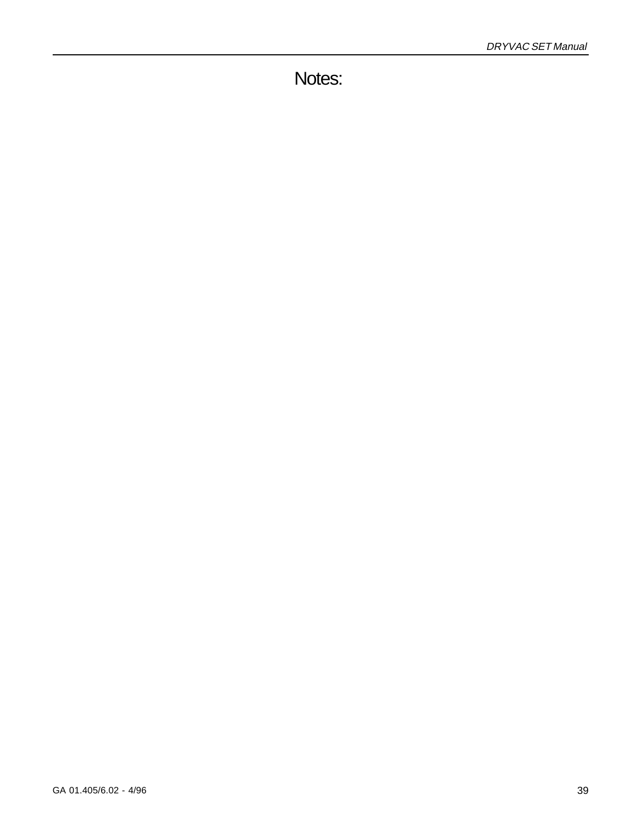Notes: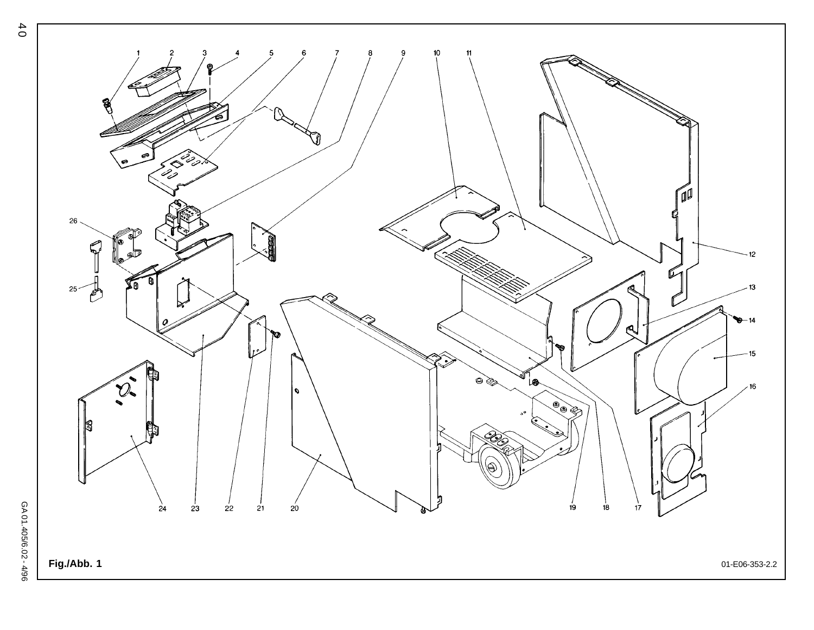![](_page_39_Figure_0.jpeg)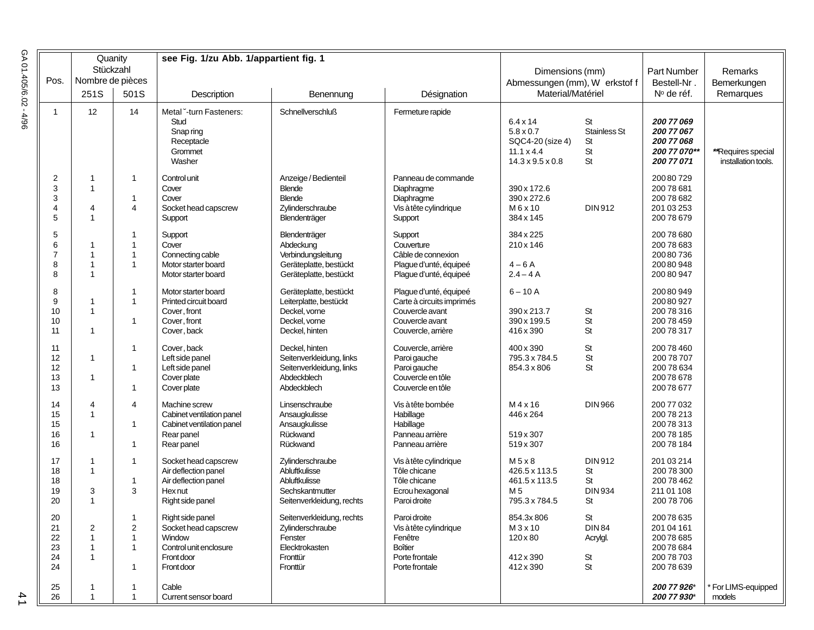| GA 01.405/6.02 | Pos.                               | Quanity<br>Stückzahl<br>Nombre de pièces       |                                             | see Fig. 1/zu Abb. 1/appartient fig. 1                                                                   |                                                                                                      |                                                                                                                 |                                                                                                              | Dimensions (mm)<br>Abmessungen (mm), W erkstof f |                                                                          | Remarks                                   |
|----------------|------------------------------------|------------------------------------------------|---------------------------------------------|----------------------------------------------------------------------------------------------------------|------------------------------------------------------------------------------------------------------|-----------------------------------------------------------------------------------------------------------------|--------------------------------------------------------------------------------------------------------------|--------------------------------------------------|--------------------------------------------------------------------------|-------------------------------------------|
|                |                                    | 251S                                           | 501S                                        | Description                                                                                              | Benennung                                                                                            | Désignation                                                                                                     | Material/Matériel                                                                                            |                                                  | Bestell-Nr.<br>$No$ de réf.                                              | Bemerkungen<br>Remarques                  |
| 4/96           | $\mathbf{1}$                       | 12                                             | 14                                          | Metal -turn Fasteners:<br>Stud<br>Snap ring<br>Receptacle<br>Grommet<br>Washer                           | <b>Schnellverschluß</b>                                                                              | Fermeture rapide                                                                                                | $6.4 \times 14$<br>$5.8 \times 0.7$<br>SQC4-20 (size 4)<br>$11.1 \times 4.4$<br>$14.3 \times 9.5 \times 0.8$ | St<br>Stainless St<br>St<br>St<br>St             | 200 77 069<br>200 77 067<br>200 77 068<br>200 77 070**<br>200 77 071     | **Requires special<br>installation tools. |
|                | $\overline{2}$<br>3<br>3<br>4<br>5 | -1<br>-1<br>$\overline{4}$<br>$\mathbf{1}$     | $\mathbf{1}$<br>$\mathbf 1$<br>4            | Control unit<br>Cover<br>Cover<br>Socket head capscrew<br>Support                                        | Anzeige / Bedienteil<br><b>Blende</b><br><b>Blende</b><br>Zylinderschraube<br>Blendenträger          | Panneau de commande<br>Diaphragme<br>Diaphragme<br>Vis à tête cylindrique<br>Support                            | 390 x 172.6<br>390 x 272.6<br>M 6 x 10<br>384 x 145                                                          | DIN 912                                          | 20080729<br>200 78 681<br>200 78 682<br>201 03 253<br>20078679           |                                           |
|                | 5<br>6<br>$\overline{7}$<br>8<br>8 | $\mathbf{1}$<br>-1<br>-1                       | 1<br>$\mathbf 1$<br>$\overline{1}$<br>1     | Support<br>Cover<br>Connecting cable<br>Motor starter board<br>Motor starter board                       | Blendenträger<br>Abdeckung<br>Verbindungsleitung<br>Geräteplatte, bestückt<br>Geräteplatte, bestückt | Support<br>Couverture<br>Câble de connexion<br>Plague d'unté, équipeé<br>Plague d'unté, équipeé                 | 384 x 225<br>210x146<br>$4-6A$<br>$2.4 - 4A$                                                                 |                                                  | 200 78 680<br>20078683<br>20080736<br>20080948<br>200 80 947             |                                           |
|                | 8<br>9<br>10<br>10<br>11           | -1<br>$\mathbf{1}$<br>-1                       | $\mathbf 1$<br>$\mathbf{1}$<br>$\mathbf 1$  | Motor starter board<br>Printed circuit board<br>Cover, front<br>Cover, front<br>Cover, back              | Geräteplatte, bestückt<br>Leiterplatte, bestückt<br>Deckel, vorne<br>Deckel, vorne<br>Deckel, hinten | Plague d'unté, équipeé<br>Carte à circuits imprimés<br>Couvercle avant<br>Couvercle avant<br>Couvercle, arrière | $6 - 10A$<br>390 x 213.7<br>390 x 199.5<br>416 x 390                                                         | St<br>St<br>St                                   | 20080949<br>20080927<br>200 78 316<br>200 78 459<br>200 78 317           |                                           |
|                | 11<br>12<br>12<br>13<br>13         | $\mathbf{1}$<br>-1                             | $\mathbf 1$<br>$\mathbf 1$<br>1             | Cover, back<br>Left side panel<br>Left side panel<br>Cover plate<br>Cover plate                          | Deckel, hinten<br>Seitenverkleidung, links<br>Seitenverkleidung, links<br>Abdeckblech<br>Abdeckblech | Couvercle, arrière<br>Paroi gauche<br>Paroi gauche<br>Couvercle en tôle<br>Couvercle en tôle                    | 400 x 390<br>795.3 x 784.5<br>854.3 x 806                                                                    | St<br>St<br>St                                   | 200 78 460<br>200 78 707<br>200 78 634<br>20078678<br>20078677           |                                           |
|                | 14<br>15<br>15<br>16<br>16         | 4<br>$\mathbf{1}$<br>-1                        | 4<br>1<br>$\mathbf{1}$                      | Machine screw<br>Cabinet ventilation panel<br>Cabinet ventilation panel<br>Rear panel<br>Rear panel      | Linsenschraube<br>Ansaugkulisse<br>Ansaugkulisse<br>Rückwand<br>Rückwand                             | Vis à tête bombée<br>Habillage<br>Habillage<br>Panneau arrière<br>Panneau arrière                               | $M$ 4 x 16<br>446 x 264<br>519 x 307<br>519 x 307                                                            | <b>DIN 966</b>                                   | 200 77 032<br>20078213<br>20078313<br>200 78 185<br>200 78 184           |                                           |
|                | 17<br>18<br>18<br>19<br>20         | -1<br>$\mathbf{1}$<br>3<br>$\mathbf{1}$        | 1<br>$\mathbf{1}$<br>3                      | Socket head capscrew<br>Air deflection panel<br>Air deflection panel<br>Hex nut<br>Right side panel      | Zylinderschraube<br>Abluftkulisse<br>Abluftkulisse<br>Sechskantmutter<br>Seitenverkleidung, rechts   | Vis à tête cylindrique<br>Tôle chicane<br>Tôle chicane<br>Ecrou hexagonal<br>Paroi droite                       | M 5 x 8<br>426.5 x 113.5<br>461.5 x 113.5<br>M 5<br>795.3 x 784.5                                            | DIN 912<br>St<br>St<br><b>DIN934</b><br>St       | 201 03 214<br>200 78 300<br>200 78 462<br>211 01 108<br>200 78 706       |                                           |
|                | 20<br>21<br>22<br>23<br>24<br>24   | $\overline{2}$<br>$\mathbf{1}$<br>$\mathbf{1}$ | $\mathbf{1}$<br>2<br>$\mathbf{1}$<br>1<br>1 | Right side panel<br>Socket head capscrew<br>Window<br>Control unit enclosure<br>Front door<br>Front door | Seitenverkleidung, rechts<br>Zylinderschraube<br>Fenster<br>Elecktrokasten<br>Fronttür<br>Fronttür   | Paroi droite<br>Vis à tête cylindrique<br>Fenêtre<br><b>Boîtier</b><br>Porte frontale<br>Porte frontale         | 854.3x806<br>M 3 x 10<br>120 x 80<br>412x390<br>412 x 390                                                    | St<br><b>DIN 84</b><br>Acrylgl.<br>St<br>St      | 20078635<br>201 04 161<br>20078685<br>20078684<br>200 78 703<br>20078639 |                                           |
|                | 25<br>26                           | -1<br>$\mathbf{1}$                             | 1<br>$\mathbf{1}$                           | Cable<br>Current sensor board                                                                            |                                                                                                      |                                                                                                                 |                                                                                                              |                                                  | 200 77 926*<br>200 77 930*                                               | For LIMS-equipped<br>models               |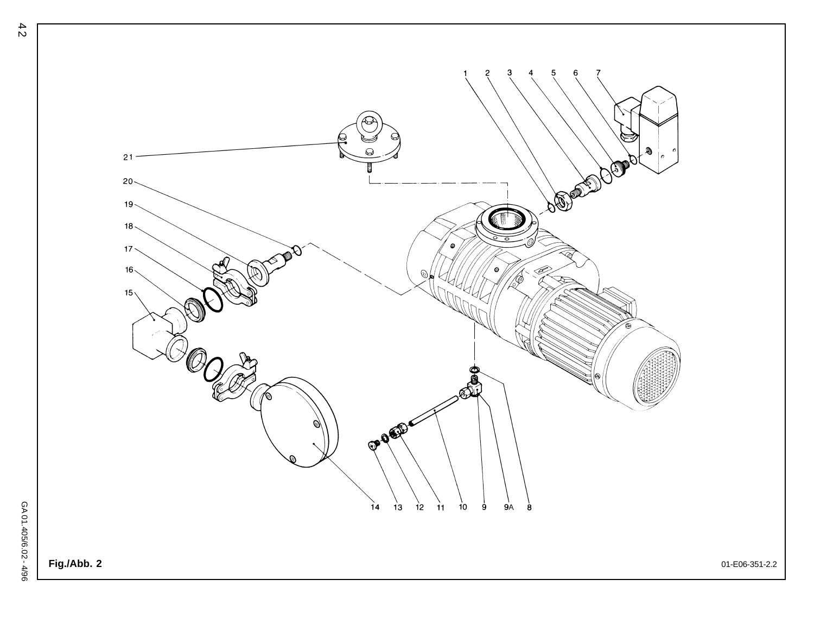![](_page_41_Picture_0.jpeg)

42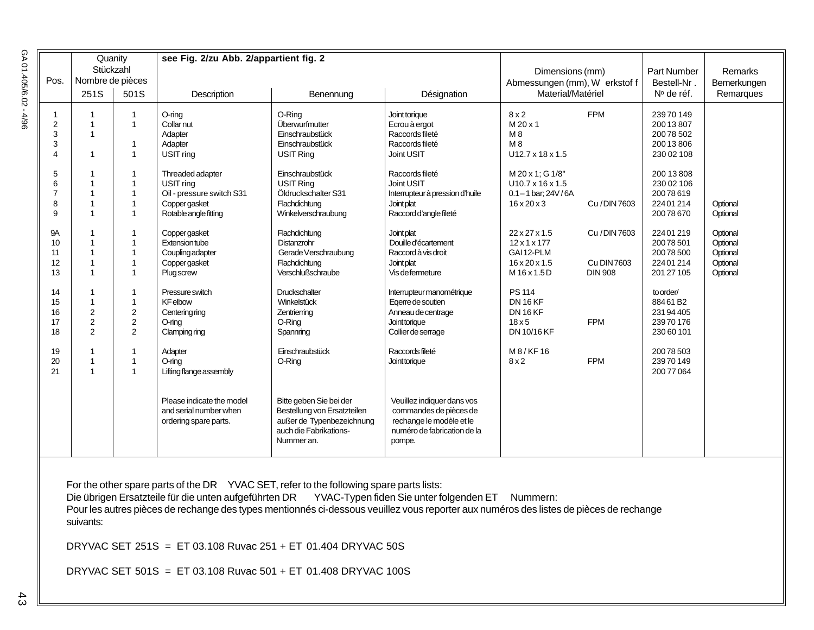| GA 01.405/6.02- |             | Quanity<br>Stückzahl<br>Nombre de pièces |                              | see Fig. 2/zu Abb. 2/appartient fig. 2          |                                                                                                                                                                                                                                                                                                                                                                                                                                                                              |                                                                                             |                               |                |                                  |             |
|-----------------|-------------|------------------------------------------|------------------------------|-------------------------------------------------|------------------------------------------------------------------------------------------------------------------------------------------------------------------------------------------------------------------------------------------------------------------------------------------------------------------------------------------------------------------------------------------------------------------------------------------------------------------------------|---------------------------------------------------------------------------------------------|-------------------------------|----------------|----------------------------------|-------------|
|                 | Pos.        |                                          |                              |                                                 |                                                                                                                                                                                                                                                                                                                                                                                                                                                                              |                                                                                             | Dimensions (mm)               |                | Part Number                      | Remarks     |
|                 |             |                                          |                              |                                                 |                                                                                                                                                                                                                                                                                                                                                                                                                                                                              |                                                                                             | Abmessungen (mm), W erkstof f |                | Bestell-Nr.                      | Bemerkungen |
|                 |             | 251S                                     | 501S                         | Description                                     | Benennung                                                                                                                                                                                                                                                                                                                                                                                                                                                                    | Désignation                                                                                 | Material/Matériel             |                | $No$ de réf.                     | Remarques   |
| 4/96            | 1<br>2<br>3 | 1                                        | $\mathbf{1}$<br>$\mathbf{1}$ | $O$ -ring<br>Collar nut<br>Adapter              | O-Ring<br>Überwurfmutter<br>Einschraubstück                                                                                                                                                                                                                                                                                                                                                                                                                                  | Joint torique<br>Ecrou à ergot<br>Raccords fileté                                           | 8x2<br>M 20 x 1<br>M 8        | <b>FPM</b>     | 23970149<br>20013807<br>20078502 |             |
|                 | 3           |                                          | 1                            | Adapter                                         | Einschraubstück                                                                                                                                                                                                                                                                                                                                                                                                                                                              | Raccords fileté                                                                             | M 8                           |                | 20013806                         |             |
|                 | Δ           | 1                                        | $\mathbf{1}$                 | USIT ring                                       | USIT Ring                                                                                                                                                                                                                                                                                                                                                                                                                                                                    | Joint USIT                                                                                  | U12.7 x 18 x 1.5              |                | 230 02 108                       |             |
|                 | 5           |                                          | $\mathbf{1}$                 | Threaded adapter                                | Einschraubstück                                                                                                                                                                                                                                                                                                                                                                                                                                                              | Raccords fileté                                                                             | M 20 x 1; G 1/8"              |                | 200 13 808                       |             |
|                 | 6           |                                          | 1                            | USIT ring                                       | <b>USIT Ring</b>                                                                                                                                                                                                                                                                                                                                                                                                                                                             | Joint USIT                                                                                  | $U10.7 \times 16 \times 1.5$  |                | 230 02 106                       |             |
|                 | 7           |                                          | $\mathbf{1}$                 | Oil - pressure switch S31                       | Öldruckschalter S31                                                                                                                                                                                                                                                                                                                                                                                                                                                          | Interrupteur à pression d'huile                                                             | $0.1 - 1$ bar; 24V/6A         |                | 20078619                         |             |
|                 | 8           |                                          | 1                            | Copper gasket                                   | Flachdichtung                                                                                                                                                                                                                                                                                                                                                                                                                                                                | Joint plat                                                                                  | $16 \times 20 \times 3$       | Cu / DIN 7603  | 22401214                         | Optional    |
|                 | 9           |                                          | $\mathbf{1}$                 | Rotable angle fitting                           | Winkelverschraubung                                                                                                                                                                                                                                                                                                                                                                                                                                                          | Raccord d'angle fileté                                                                      |                               |                | 20078670                         | Optional    |
|                 | 9Α          |                                          | 1                            | Copper gasket                                   | Flachdichtung                                                                                                                                                                                                                                                                                                                                                                                                                                                                | Joint plat                                                                                  | $22 \times 27 \times 1.5$     | Cu / DIN 7603  | 22401219                         | Optional    |
|                 | 10          |                                          | 1                            | Extension tube                                  | Distanzrohr                                                                                                                                                                                                                                                                                                                                                                                                                                                                  | Douille d'écartement                                                                        | 12x1x177                      |                | 20078501                         | Optional    |
|                 | 11          |                                          | 1                            | Coupling adapter                                | Gerade Verschraubung                                                                                                                                                                                                                                                                                                                                                                                                                                                         | Raccord à vis droit                                                                         | GAI 12-PLM                    |                | 20078500                         | Optional    |
|                 | 12          |                                          | 1                            | Copper gasket                                   | Flachdichtung                                                                                                                                                                                                                                                                                                                                                                                                                                                                | Joint plat                                                                                  | $16 \times 20 \times 1.5$     | Cu DIN 7603    | 22401214                         | Optional    |
|                 | 13          |                                          | $\mathbf{1}$                 | <b>Plug screw</b>                               | Verschlußschraube                                                                                                                                                                                                                                                                                                                                                                                                                                                            | Vis de fermeture                                                                            | M 16 x 1.5 D                  | <b>DIN 908</b> | 201 27 105                       | Optional    |
|                 | 14          |                                          | $\mathbf{1}$                 | Pressure switch                                 | Druckschalter                                                                                                                                                                                                                                                                                                                                                                                                                                                                | Interrupteur manométrique                                                                   | PS 114                        |                | to order/                        |             |
|                 | 15          |                                          | 1                            | <b>KF</b> elbow                                 | Winkelstück                                                                                                                                                                                                                                                                                                                                                                                                                                                                  | Egerre de soutien                                                                           | <b>DN 16 KF</b>               |                | 88461B2                          |             |
|                 | 16          | 2                                        | $\sqrt{2}$                   | Centering ring                                  | Zentrierring                                                                                                                                                                                                                                                                                                                                                                                                                                                                 | Anneau de centrage                                                                          | <b>DN 16 KF</b>               |                | 23194405                         |             |
|                 | 17          | 2                                        | $\sqrt{2}$                   | $O$ -ring                                       | O-Ring                                                                                                                                                                                                                                                                                                                                                                                                                                                                       | Joint torique                                                                               | $18\times5$                   | <b>FPM</b>     | 23970176                         |             |
|                 | 18          | 2                                        | 2                            | Clamping ring                                   | Spannring                                                                                                                                                                                                                                                                                                                                                                                                                                                                    | Collier de serrage                                                                          | DN 10/16 KF                   |                | 230 60 101                       |             |
|                 | 19          |                                          | $\mathbf{1}$                 | Adapter                                         | Einschraubstück                                                                                                                                                                                                                                                                                                                                                                                                                                                              | Raccords fileté                                                                             | M 8 / KF 16                   |                | 20078503                         |             |
|                 | 20          |                                          | $\mathbf{1}$                 | $O$ -ring                                       | O-Ring                                                                                                                                                                                                                                                                                                                                                                                                                                                                       | Joint torique                                                                               | 8x2                           | <b>FPM</b>     | 23970149                         |             |
|                 | 21          |                                          | $\mathbf{1}$                 | Lifting flange assembly                         |                                                                                                                                                                                                                                                                                                                                                                                                                                                                              |                                                                                             |                               |                | 200 77 064                       |             |
|                 |             |                                          |                              | Please indicate the model                       | Bitte geben Sie bei der                                                                                                                                                                                                                                                                                                                                                                                                                                                      | Veuillez indiquer dans vos                                                                  |                               |                |                                  |             |
|                 |             |                                          |                              | and serial number when<br>ordering spare parts. | Bestellung von Ersatzteilen<br>außer de Typenbezeichnung<br>auch die Fabrikations-<br>Nummer an.                                                                                                                                                                                                                                                                                                                                                                             | commandes de pièces de<br>rechange le modèle et le<br>numéro de fabrication de la<br>pompe. |                               |                |                                  |             |
| 4               |             | suivants:                                |                              |                                                 | For the other spare parts of the DR YVAC SET, refer to the following spare parts lists:<br>Die übrigen Ersatzteile für die unten aufgeführten DR YVAC-Typen fiden Sie unter folgenden ET Nummern:<br>Pour les autres pièces de rechange des types mentionnés ci-dessous veuillez vous reporter aux numéros des listes de pièces de rechange<br>DRYVAC SET 251S = ET 03.108 Ruvac 251 + ET 01.404 DRYVAC 50S<br>DRYVAC SET 501S = ET 03.108 Ruvac 501 + ET 01.408 DRYVAC 100S |                                                                                             |                               |                |                                  |             |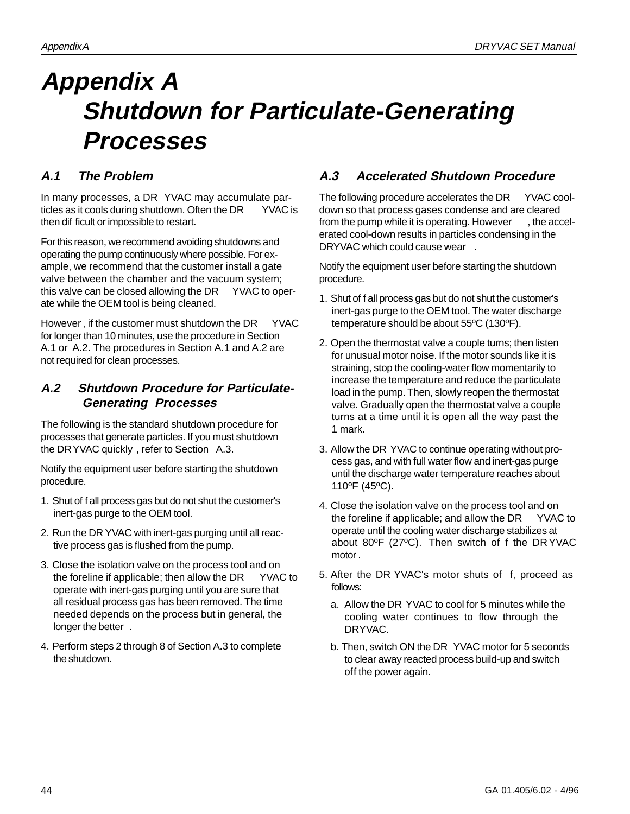# **Appendix A Shutdown for Particulate-Generating Processes**

#### **A.1 The Problem**

In many processes, a DR YVAC may accumulate particles as it cools during shutdown. Often the DR YVAC is then dif ficult or impossible to restart.

For this reason, we recommend avoiding shutdowns and operating the pump continuously where possible. For example, we recommend that the customer install a gate valve between the chamber and the vacuum system; this valve can be closed allowing the DR YVAC to operate while the OEM tool is being cleaned.

However, if the customer must shutdown the DR YVAC for longer than 10 minutes, use the procedure in Section A.1 or A.2. The procedures in Section A.1 and A.2 are not required for clean processes.

#### **A.2 Shutdown Procedure for Particulate-Generating Processes**

The following is the standard shutdown procedure for processes that generate particles. If you must shutdown the DRYVAC quickly , refer to Section A.3.

Notify the equipment user before starting the shutdown procedure.

- 1. Shut of f all process gas but do not shut the customer's inert-gas purge to the OEM tool.
- 2. Run the DR YVAC with inert-gas purging until all reactive process gas is flushed from the pump.
- 3. Close the isolation valve on the process tool and on the foreline if applicable; then allow the DR YVAC to operate with inert-gas purging until you are sure that all residual process gas has been removed. The time needed depends on the process but in general, the longer the better .
- 4. Perform steps 2 through 8 of Section A.3 to complete the shutdown.

#### **A.3 Accelerated Shutdown Procedure**

The following procedure accelerates the DR YVAC cooldown so that process gases condense and are cleared from the pump while it is operating. However, the accelerated cool-down results in particles condensing in the DRYVAC which could cause wear .

Notify the equipment user before starting the shutdown procedure.

- 1. Shut of f all process gas but do not shut the customer's inert-gas purge to the OEM tool. The water discharge temperature should be about 55ºC (130ºF).
- 2. Open the thermostat valve a couple turns; then listen for unusual motor noise. If the motor sounds like it is straining, stop the cooling-water flow momentarily to increase the temperature and reduce the particulate load in the pump. Then, slowly reopen the thermostat valve. Gradually open the thermostat valve a couple turns at a time until it is open all the way past the 1 mark.
- 3. Allow the DR YVAC to continue operating without process gas, and with full water flow and inert-gas purge until the discharge water temperature reaches about 110ºF (45ºC).
- 4. Close the isolation valve on the process tool and on the foreline if applicable; and allow the DR YVAC to operate until the cooling water discharge stabilizes at about 80ºF (27ºC). Then switch of f the DR YVAC motor .
- 5. After the DR YVAC's motor shuts of f, proceed as follows:
	- a. Allow the DR YVAC to cool for 5 minutes while the cooling water continues to flow through the DRYVAC.
	- b. Then, switch ON the DR YVAC motor for 5 seconds to clear away reacted process build-up and switch off the power again.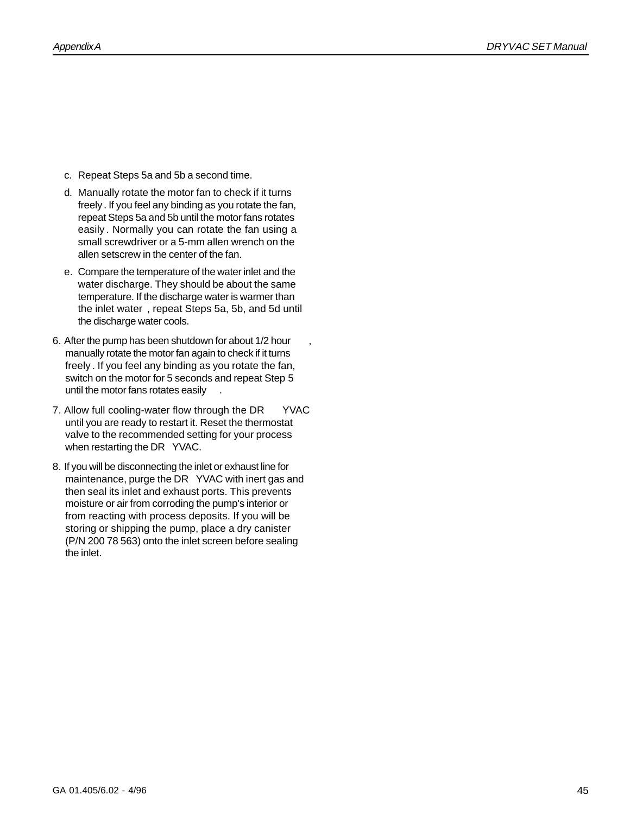- c. Repeat Steps 5a and 5b a second time.
- d. Manually rotate the motor fan to check if it turns freely. If you feel any binding as you rotate the fan, repeat Steps 5a and 5b until the motor fans rotates easily . Normally you can rotate the fan using a small screwdriver or a 5-mm allen wrench on the allen setscrew in the center of the fan.
- e. Compare the temperature of the water inlet and the water discharge. They should be about the same temperature. If the discharge water is warmer than the inlet water , repeat Steps 5a, 5b, and 5d until the discharge water cools.
- 6. After the pump has been shutdown for about 1/2 hour , manually rotate the motor fan again to check if it turns freely . If you feel any binding as you rotate the fan, switch on the motor for 5 seconds and repeat Step 5 until the motor fans rotates easily .
- 7. Allow full cooling-water flow through the DR YVAC until you are ready to restart it. Reset the thermostat valve to the recommended setting for your process when restarting the DR YVAC.
- 8. If you will be disconnecting the inlet or exhaust line for maintenance, purge the DR YVAC with inert gas and then seal its inlet and exhaust ports. This prevents moisture or air from corroding the pump's interior or from reacting with process deposits. If you will be storing or shipping the pump, place a dry canister (P/N 200 78 563) onto the inlet screen before sealing the inlet.